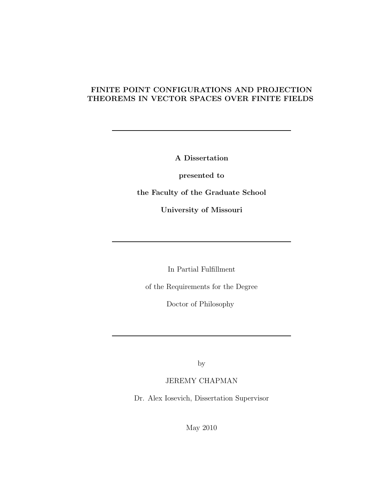### FINITE POINT CONFIGURATIONS AND PROJECTION THEOREMS IN VECTOR SPACES OVER FINITE FIELDS

A Dissertation

presented to

the Faculty of the Graduate School

University of Missouri

In Partial Fulfillment

of the Requirements for the Degree

Doctor of Philosophy

by

JEREMY CHAPMAN

Dr. Alex Iosevich, Dissertation Supervisor

May 2010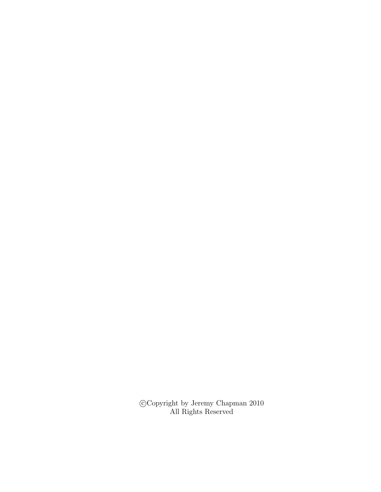$\bigodot$  Copyright by Jeremy Chapman 2010 All Rights Reserved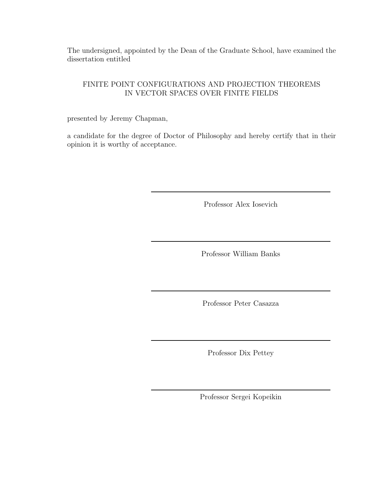The undersigned, appointed by the Dean of the Graduate School, have examined the dissertation entitled

### FINITE POINT CONFIGURATIONS AND PROJECTION THEOREMS IN VECTOR SPACES OVER FINITE FIELDS

presented by Jeremy Chapman,

a candidate for the degree of Doctor of Philosophy and hereby certify that in their opinion it is worthy of acceptance.

Professor Alex Iosevich

Professor William Banks

Professor Peter Casazza

Professor Dix Pettey

Professor Sergei Kopeikin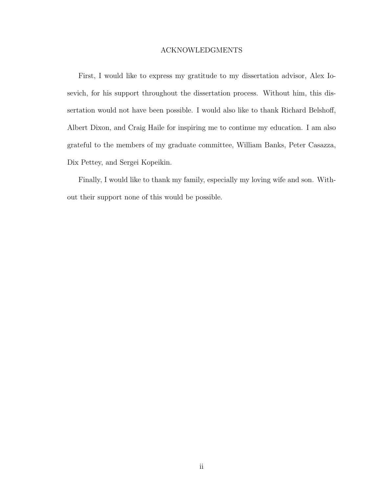#### ACKNOWLEDGMENTS

First, I would like to express my gratitude to my dissertation advisor, Alex Iosevich, for his support throughout the dissertation process. Without him, this dissertation would not have been possible. I would also like to thank Richard Belshoff, Albert Dixon, and Craig Haile for inspiring me to continue my education. I am also grateful to the members of my graduate committee, William Banks, Peter Casazza, Dix Pettey, and Sergei Kopeikin.

Finally, I would like to thank my family, especially my loving wife and son. Without their support none of this would be possible.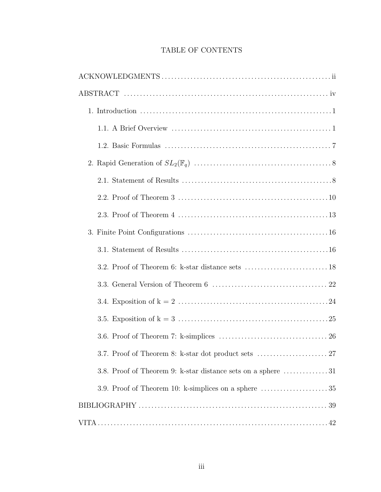### TABLE OF CONTENTS

| 3.8. Proof of Theorem 9: k-star distance sets on a sphere 31                         |
|--------------------------------------------------------------------------------------|
| 3.9. Proof of Theorem 10: k-simplices on a sphere $\dots\dots\dots\dots\dots\dots35$ |
|                                                                                      |
|                                                                                      |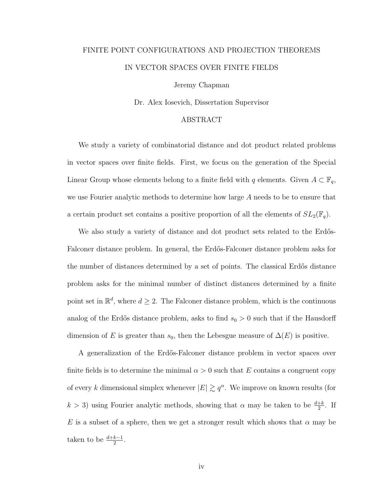## FINITE POINT CONFIGURATIONS AND PROJECTION THEOREMS IN VECTOR SPACES OVER FINITE FIELDS

Jeremy Chapman

Dr. Alex Iosevich, Dissertation Supervisor

#### ABSTRACT

We study a variety of combinatorial distance and dot product related problems in vector spaces over finite fields. First, we focus on the generation of the Special Linear Group whose elements belong to a finite field with q elements. Given  $A \subset \mathbb{F}_q$ , we use Fourier analytic methods to determine how large A needs to be to ensure that a certain product set contains a positive proportion of all the elements of  $SL_2(\mathbb{F}_q)$ .

We also study a variety of distance and dot product sets related to the Erdős-Falconer distance problem. In general, the Erdős-Falconer distance problem asks for the number of distances determined by a set of points. The classical Erdős distance problem asks for the minimal number of distinct distances determined by a finite point set in  $\mathbb{R}^d$ , where  $d \geq 2$ . The Falconer distance problem, which is the continuous analog of the Erdős distance problem, asks to find  $s_0 > 0$  such that if the Hausdorff dimension of E is greater than  $s_0$ , then the Lebesgue measure of  $\Delta(E)$  is positive.

A generalization of the Erdős-Falconer distance problem in vector spaces over finite fields is to determine the minimal  $\alpha > 0$  such that E contains a congruent copy of every k dimensional simplex whenever  $|E| \gtrsim q^{\alpha}$ . We improve on known results (for  $k > 3$ ) using Fourier analytic methods, showing that  $\alpha$  may be taken to be  $\frac{d+k}{2}$ . If E is a subset of a sphere, then we get a stronger result which shows that  $\alpha$  may be taken to be  $\frac{d+k-1}{2}$ .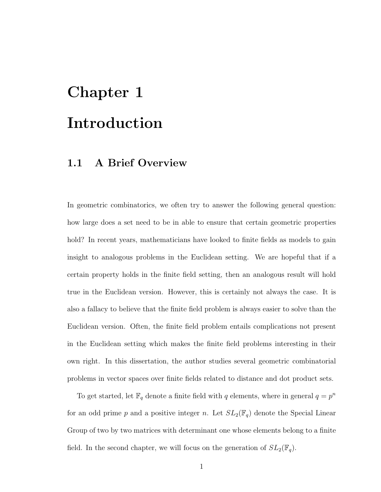# Chapter 1 Introduction

## 1.1 A Brief Overview

In geometric combinatorics, we often try to answer the following general question: how large does a set need to be in able to ensure that certain geometric properties hold? In recent years, mathematicians have looked to finite fields as models to gain insight to analogous problems in the Euclidean setting. We are hopeful that if a certain property holds in the finite field setting, then an analogous result will hold true in the Euclidean version. However, this is certainly not always the case. It is also a fallacy to believe that the finite field problem is always easier to solve than the Euclidean version. Often, the finite field problem entails complications not present in the Euclidean setting which makes the finite field problems interesting in their own right. In this dissertation, the author studies several geometric combinatorial problems in vector spaces over finite fields related to distance and dot product sets.

To get started, let  $\mathbb{F}_q$  denote a finite field with q elements, where in general  $q = p^n$ for an odd prime p and a positive integer n. Let  $SL_2(\mathbb{F}_q)$  denote the Special Linear Group of two by two matrices with determinant one whose elements belong to a finite field. In the second chapter, we will focus on the generation of  $SL_2(\mathbb{F}_q)$ .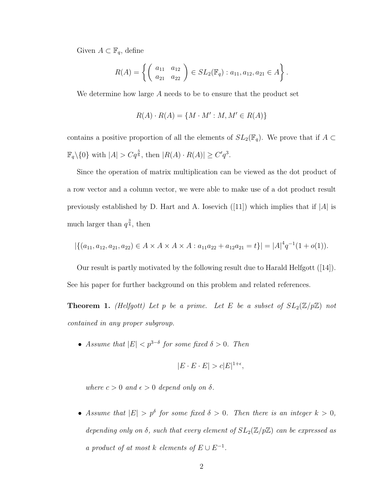Given  $A \subset \mathbb{F}_q$ , define

$$
R(A) = \left\{ \left( \begin{array}{cc} a_{11} & a_{12} \\ a_{21} & a_{22} \end{array} \right) \in SL_2(\mathbb{F}_q) : a_{11}, a_{12}, a_{21} \in A \right\}.
$$

We determine how large A needs to be to ensure that the product set

$$
R(A) \cdot R(A) = \{ M \cdot M' : M, M' \in R(A) \}
$$

contains a positive proportion of all the elements of  $SL_2(\mathbb{F}_q)$ . We prove that if  $A \subset$  $\mathbb{F}_q \setminus \{0\}$  with  $|A| > Cq^{\frac{5}{6}}$ , then  $|R(A) \cdot R(A)| \ge C'q^3$ .

Since the operation of matrix multiplication can be viewed as the dot product of a row vector and a column vector, we were able to make use of a dot product result previously established by D. Hart and A. Iosevich  $(11)$  which implies that if  $|A|$  is much larger than  $q^{\frac{3}{4}}$ , then

$$
|\{(a_{11}, a_{12}, a_{21}, a_{22}) \in A \times A \times A \times A : a_{11}a_{22} + a_{12}a_{21} = t\}| = |A|^4 q^{-1} (1 + o(1)).
$$

Our result is partly motivated by the following result due to Harald Helfgott ([14]). See his paper for further background on this problem and related references.

**Theorem 1.** (Helfgott) Let p be a prime. Let E be a subset of  $SL_2(\mathbb{Z}/p\mathbb{Z})$  not contained in any proper subgroup.

• Assume that  $|E| < p^{3-\delta}$  for some fixed  $\delta > 0$ . Then

$$
|E \cdot E \cdot E| > c|E|^{1+\epsilon},
$$

where  $c > 0$  and  $\epsilon > 0$  depend only on  $\delta$ .

• Assume that  $|E| > p^{\delta}$  for some fixed  $\delta > 0$ . Then there is an integer  $k > 0$ , depending only on  $\delta$ , such that every element of  $SL_2(\mathbb{Z}/p\mathbb{Z})$  can be expressed as a product of at most k elements of  $E \cup E^{-1}$ .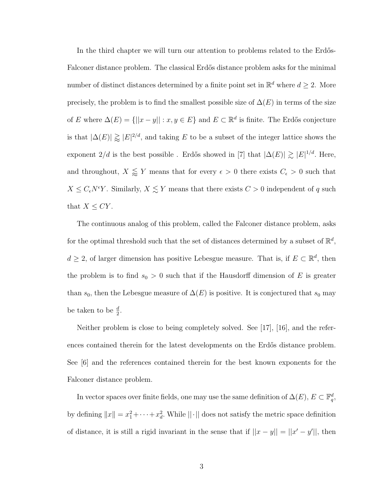In the third chapter we will turn our attention to problems related to the Erdős-Falconer distance problem. The classical Erdős distance problem asks for the minimal number of distinct distances determined by a finite point set in  $\mathbb{R}^d$  where  $d \geq 2$ . More precisely, the problem is to find the smallest possible size of  $\Delta(E)$  in terms of the size of E where  $\Delta(E) = \{ ||x - y|| : x, y \in E \}$  and  $E \subset \mathbb{R}^d$  is finite. The Erdős conjecture is that  $|\Delta(E)| \gtrapprox |E|^{2/d}$ , and taking E to be a subset of the integer lattice shows the exponent  $2/d$  is the best possible. Erdős showed in [7] that  $|\Delta(E)| \gtrsim |E|^{1/d}$ . Here, and throughout,  $X \leq Y$  means that for every  $\epsilon > 0$  there exists  $C_{\epsilon} > 0$  such that  $X \leq C_{\epsilon}N^{\epsilon}Y$ . Similarly,  $X \lesssim Y$  means that there exists  $C > 0$  independent of q such that  $X \leq CY$ .

The continuous analog of this problem, called the Falconer distance problem, asks for the optimal threshold such that the set of distances determined by a subset of  $\mathbb{R}^d$ ,  $d \geq 2$ , of larger dimension has positive Lebesgue measure. That is, if  $E \subset \mathbb{R}^d$ , then the problem is to find  $s_0 > 0$  such that if the Hausdorff dimension of E is greater than  $s_0$ , then the Lebesgue measure of  $\Delta(E)$  is positive. It is conjectured that  $s_0$  may be taken to be  $\frac{d}{2}$ .

Neither problem is close to being completely solved. See [17], [16], and the references contained therein for the latest developments on the Erdős distance problem. See [6] and the references contained therein for the best known exponents for the Falconer distance problem.

In vector spaces over finite fields, one may use the same definition of  $\Delta(E)$ ,  $E \subset \mathbb{F}_q^d$ , by defining  $||x|| = x_1^2 + \cdots + x_d^2$ . While  $||\cdot||$  does not satisfy the metric space definition of distance, it is still a rigid invariant in the sense that if  $||x - y|| = ||x' - y'||$ , then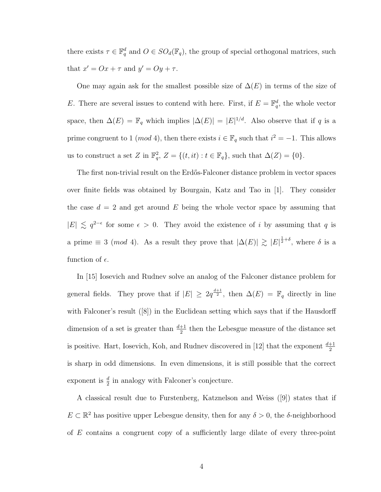there exists  $\tau \in \mathbb{F}_q^d$  and  $O \in SO_d(\mathbb{F}_q)$ , the group of special orthogonal matrices, such that  $x' = Ox + \tau$  and  $y' = Oy + \tau$ .

One may again ask for the smallest possible size of  $\Delta(E)$  in terms of the size of E. There are several issues to contend with here. First, if  $E = \mathbb{F}_q^d$ , the whole vector space, then  $\Delta(E) = \mathbb{F}_q$  which implies  $|\Delta(E)| = |E|^{1/d}$ . Also observe that if q is a prime congruent to 1 (*mod* 4), then there exists  $i \in \mathbb{F}_q$  such that  $i^2 = -1$ . This allows us to construct a set Z in  $\mathbb{F}_q^2$ ,  $Z = \{(t, it) : t \in \mathbb{F}_q\}$ , such that  $\Delta(Z) = \{0\}.$ 

The first non-trivial result on the Erdős-Falconer distance problem in vector spaces over finite fields was obtained by Bourgain, Katz and Tao in [1]. They consider the case  $d = 2$  and get around E being the whole vector space by assuming that  $|E|$   $\lesssim$   $q^{2-\epsilon}$  for some  $\epsilon > 0$ . They avoid the existence of *i* by assuming that *q* is a prime  $\equiv 3 \pmod{4}$ . As a result they prove that  $|\Delta(E)| \gtrsim |E|^{\frac{1}{2}+\delta}$ , where  $\delta$  is a function of  $\epsilon$ .

In [15] Iosevich and Rudnev solve an analog of the Falconer distance problem for general fields. They prove that if  $|E| \geq 2q^{\frac{d+1}{2}}$ , then  $\Delta(E) = \mathbb{F}_q$  directly in line with Falconer's result ([8]) in the Euclidean setting which says that if the Hausdorff dimension of a set is greater than  $\frac{d+1}{2}$  then the Lebesgue measure of the distance set is positive. Hart, Iosevich, Koh, and Rudnev discovered in [12] that the exponent  $\frac{d+1}{2}$ is sharp in odd dimensions. In even dimensions, it is still possible that the correct exponent is  $\frac{d}{2}$  in analogy with Falconer's conjecture.

A classical result due to Furstenberg, Katznelson and Weiss ([9]) states that if  $E \subset \mathbb{R}^2$  has positive upper Lebesgue density, then for any  $\delta > 0$ , the  $\delta$ -neighborhood of E contains a congruent copy of a sufficiently large dilate of every three-point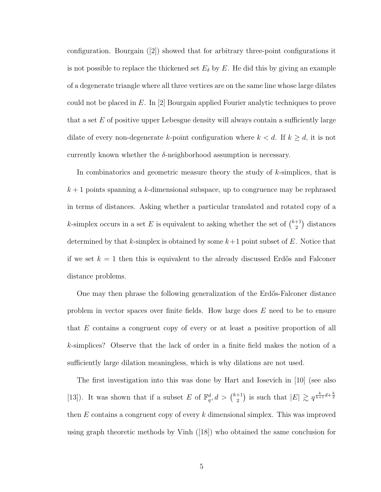configuration. Bourgain ([2]) showed that for arbitrary three-point configurations it is not possible to replace the thickened set  $E_{\delta}$  by E. He did this by giving an example of a degenerate triangle where all three vertices are on the same line whose large dilates could not be placed in  $E$ . In [2] Bourgain applied Fourier analytic techniques to prove that a set  $E$  of positive upper Lebesgue density will always contain a sufficiently large dilate of every non-degenerate k-point configuration where  $k < d$ . If  $k \geq d$ , it is not currently known whether the  $\delta$ -neighborhood assumption is necessary.

In combinatorics and geometric measure theory the study of k-simplices, that is  $k+1$  points spanning a k-dimensional subspace, up to congruence may be rephrased in terms of distances. Asking whether a particular translated and rotated copy of a k-simplex occurs in a set E is equivalent to asking whether the set of  $\binom{k+1}{2}$  $\binom{+1}{2}$  distances determined by that k-simplex is obtained by some  $k+1$  point subset of E. Notice that if we set  $k = 1$  then this is equivalent to the already discussed Erdős and Falconer distance problems.

One may then phrase the following generalization of the Erdős-Falconer distance problem in vector spaces over finite fields. How large does E need to be to ensure that E contains a congruent copy of every or at least a positive proportion of all k-simplices? Observe that the lack of order in a finite field makes the notion of a sufficiently large dilation meaningless, which is why dilations are not used.

The first investigation into this was done by Hart and Iosevich in [10] (see also [13]). It was shown that if a subset E of  $\mathbb{F}_q^d, d > \binom{k+1}{2}$  $\binom{+1}{2}$  is such that  $|E| \gtrsim q^{\frac{k}{k+1}d + \frac{k}{2}}$ then  $E$  contains a congruent copy of every  $k$  dimensional simplex. This was improved using graph theoretic methods by Vinh ([18]) who obtained the same conclusion for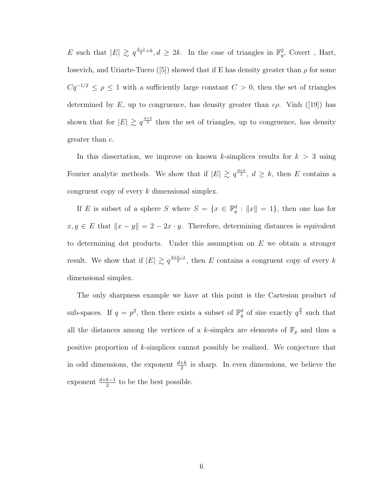E such that  $|E| \geq q^{\frac{d-1}{2}+k}$ ,  $d \geq 2k$ . In the case of triangles in  $\mathbb{F}_q^2$ , Covert, Hart, Iosevich, and Uriarte-Tuero ([5]) showed that if E has density greater than  $\rho$  for some  $Cq^{-1/2} \le \rho \le 1$  with a sufficiently large constant  $C > 0$ , then the set of triangles determined by E, up to congruence, has density greater than  $c\rho$ . Vinh ([19]) has shown that for  $|E| \geq q^{\frac{d+2}{2}}$  then the set of triangles, up to congruence, has density greater than c.

In this dissertation, we improve on known k-simplices results for  $k > 3$  using Fourier analytic methods. We show that if  $|E| \geq q^{\frac{d+k}{2}}$ ,  $d \geq k$ , then E contains a congruent copy of every k dimensional simplex.

If E is subset of a sphere S where  $S = \{x \in \mathbb{F}_q^d : ||x|| = 1\}$ , then one has for  $x, y \in E$  that  $||x - y|| = 2 - 2x \cdot y$ . Therefore, determining distances is equivalent to determining dot products. Under this assumption on  $E$  we obtain a stronger result. We show that if  $|E| \geq q^{\frac{d+k-1}{2}}$ , then E contains a congruent copy of every k dimensional simplex.

The only sharpness example we have at this point is the Cartesian product of sub-spaces. If  $q = p^2$ , then there exists a subset of  $\mathbb{F}_q^d$  of size exactly  $q^{\frac{d}{2}}$  such that all the distances among the vertices of a k-simplex are elements of  $\mathbb{F}_p$  and thus a positive proportion of k-simplices cannot possibly be realized. We conjecture that in odd dimensions, the exponent  $\frac{d+k}{2}$  is sharp. In even dimensions, we believe the exponent  $\frac{d+k-1}{2}$  to be the best possible.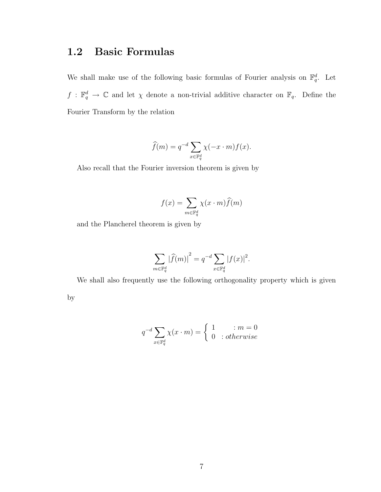## 1.2 Basic Formulas

We shall make use of the following basic formulas of Fourier analysis on  $\mathbb{F}_q^d$ . Let  $f: \mathbb{F}_q^d \to \mathbb{C}$  and let  $\chi$  denote a non-trivial additive character on  $\mathbb{F}_q$ . Define the Fourier Transform by the relation

$$
\widehat{f}(m) = q^{-d} \sum_{x \in \mathbb{F}_q^d} \chi(-x \cdot m) f(x).
$$

Also recall that the Fourier inversion theorem is given by

$$
f(x) = \sum_{m \in \mathbb{F}_q^d} \chi(x \cdot m) \hat{f}(m)
$$

and the Plancherel theorem is given by

$$
\sum_{m \in \mathbb{F}_q^d} |\widehat{f}(m)|^2 = q^{-d} \sum_{x \in \mathbb{F}_q^d} |f(x)|^2.
$$

We shall also frequently use the following orthogonality property which is given by

$$
q^{-d} \sum_{x \in \mathbb{F}_q^d} \chi(x \cdot m) = \begin{cases} 1 & \text{: } m = 0 \\ 0 & \text{: } otherwise \end{cases}
$$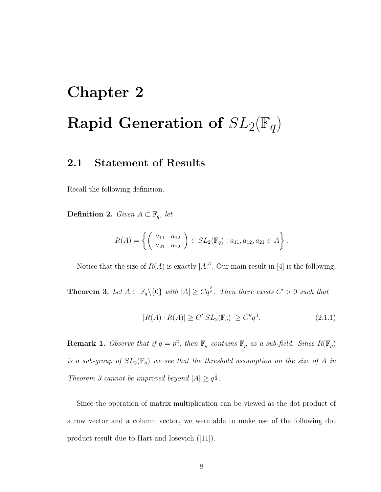# Chapter 2 Rapid Generation of  $SL_2(\mathbb{F}_q)$

## 2.1 Statement of Results

Recall the following definition.

**Definition 2.** Given  $A \subset \mathbb{F}_q$ , let

$$
R(A) = \left\{ \left( \begin{array}{cc} a_{11} & a_{12} \\ a_{21} & a_{22} \end{array} \right) \in SL_2(\mathbb{F}_q) : a_{11}, a_{12}, a_{21} \in A \right\}.
$$

Notice that the size of  $R(A)$  is exactly  $|A|^3$ . Our main result in [4] is the following.

**Theorem 3.** Let  $A \subset \mathbb{F}_q \setminus \{0\}$  with  $|A| \geq Cq^{\frac{5}{6}}$ . Then there exists  $C' > 0$  such that

$$
|R(A) \cdot R(A)| \ge C' |SL_2(\mathbb{F}_q)| \ge C''q^3. \tag{2.1.1}
$$

**Remark 1.** Observe that if  $q = p^2$ , then  $\mathbb{F}_q$  contains  $\mathbb{F}_p$  as a sub-field. Since  $R(\mathbb{F}_p)$ is a sub-group of  $SL_2(\mathbb{F}_q)$  we see that the threshold assumption on the size of A in Theorem 3 cannot be improved beyond  $|A| \geq q^{\frac{1}{2}}$ .

Since the operation of matrix multiplication can be viewed as the dot product of a row vector and a column vector, we were able to make use of the following dot product result due to Hart and Iosevich ([11]).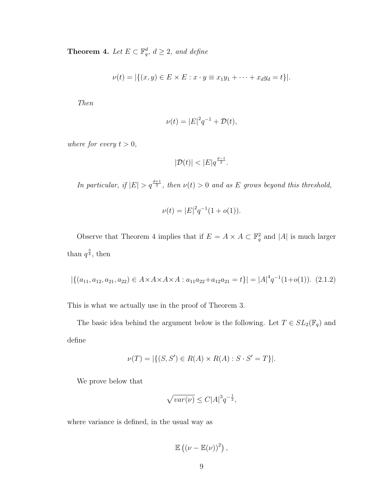**Theorem 4.** Let  $E \subset \mathbb{F}_q^d$ ,  $d \geq 2$ , and define

$$
\nu(t) = |\{(x, y) \in E \times E : x \cdot y \equiv x_1 y_1 + \dots + x_d y_d = t\}|.
$$

Then

$$
\nu(t) = |E|^2 q^{-1} + \mathcal{D}(t),
$$

where for every  $t > 0$ ,

$$
|\mathcal{D}(t)| < |E|q^{\frac{d-1}{2}}.
$$

In particular, if  $|E| > q^{\frac{d+1}{2}}$ , then  $\nu(t) > 0$  and as E grows beyond this threshold,

$$
\nu(t) = |E|^2 q^{-1} (1 + o(1)).
$$

Observe that Theorem 4 implies that if  $E = A \times A \subset \mathbb{F}_q^2$  and  $|A|$  is much larger than  $q^{\frac{3}{4}}$ , then

$$
|\{(a_{11}, a_{12}, a_{21}, a_{22}) \in A \times A \times A \times A : a_{11}a_{22} + a_{12}a_{21} = t\}| = |A|^4 q^{-1} (1 + o(1)).
$$
 (2.1.2)

This is what we actually use in the proof of Theorem 3.

The basic idea behind the argument below is the following. Let  $T\in SL_2(\mathbb{F}_q)$  and define

$$
\nu(T) = |\{(S, S') \in R(A) \times R(A) : S \cdot S' = T\}|.
$$

We prove below that

$$
\sqrt{var(\nu)} \le C|A|^3 q^{-\frac{1}{2}},
$$

where variance is defined, in the usual way as

$$
\mathbb{E}\left(\left(\nu-\mathbb{E}(\nu)\right)^2\right),\
$$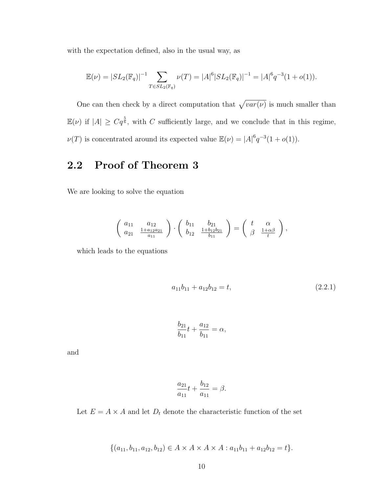with the expectation defined, also in the usual way, as

$$
\mathbb{E}(\nu) = |SL_2(\mathbb{F}_q)|^{-1} \sum_{T \in SL_2(\mathbb{F}_q)} \nu(T) = |A|^6 |SL_2(\mathbb{F}_q)|^{-1} = |A|^6 q^{-3} (1 + o(1)).
$$

One can then check by a direct computation that  $\sqrt{var(\nu)}$  is much smaller than  $\mathbb{E}(\nu)$  if  $|A| \geq Cq^{\frac{5}{6}}$ , with C sufficiently large, and we conclude that in this regime,  $\nu(T)$  is concentrated around its expected value  $\mathbb{E}(\nu) = |A|^6 q^{-3} (1 + o(1)).$ 

## 2.2 Proof of Theorem 3

We are looking to solve the equation

$$
\left(\begin{array}{cc}\n a_{11} & a_{12} \\
a_{21} & \frac{1+a_{12}a_{21}}{a_{11}}\n\end{array}\right) \cdot \left(\begin{array}{cc}\n b_{11} & b_{21} \\
b_{12} & \frac{1+b_{12}b_{21}}{b_{11}}\n\end{array}\right) = \left(\begin{array}{cc}\n t & \alpha \\
\beta & \frac{1+\alpha\beta}{t}\n\end{array}\right),
$$

which leads to the equations

$$
a_{11}b_{11} + a_{12}b_{12} = t,\t\t(2.2.1)
$$

$$
\frac{b_{21}}{b_{11}}t + \frac{a_{12}}{b_{11}} = \alpha,
$$

and

$$
\frac{a_{21}}{a_{11}}t + \frac{b_{12}}{a_{11}} = \beta.
$$

Let  $E = A \times A$  and let  $D_t$  denote the characteristic function of the set

 $\{(a_{11}, b_{11}, a_{12}, b_{12}) \in A \times A \times A \times A : a_{11}b_{11} + a_{12}b_{12} = t\}.$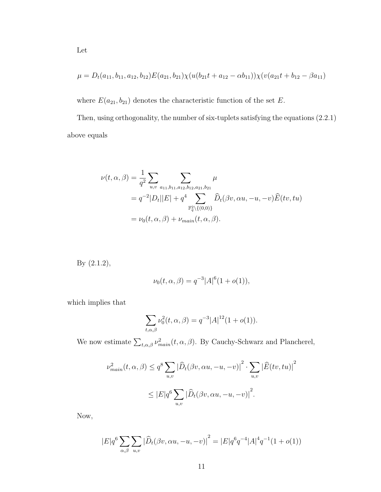$$
\mu = D_t(a_{11}, b_{11}, a_{12}, b_{12})E(a_{21}, b_{21})\chi(u(b_{21}t + a_{12} - \alpha b_{11}))\chi(v(a_{21}t + b_{12} - \beta a_{11})
$$

where  $E(a_{21}, b_{21})$  denotes the characteristic function of the set E.

Then, using orthogonality, the number of six-tuplets satisfying the equations (2.2.1) above equals

$$
\nu(t, \alpha, \beta) = \frac{1}{q^2} \sum_{u, v} \sum_{a_{11}, b_{11}, a_{12}, b_{12}, a_{21}, b_{21}} \mu
$$
  
=  $q^{-2} |D_t||E| + q^4 \sum_{\mathbb{F}_q^2 \setminus \{0, 0\}\}} \widehat{D}_t(\beta v, \alpha u, -u, -v) \widehat{E}(tv, tu)$   
=  $\nu_0(t, \alpha, \beta) + \nu_{main}(t, \alpha, \beta).$ 

By (2.1.2),

$$
\nu_0(t, \alpha, \beta) = q^{-3} |A|^6 (1 + o(1)),
$$

which implies that

$$
\sum_{t,\alpha,\beta} \nu_0^2(t,\alpha,\beta) = q^{-3}|A|^{12}(1+o(1)).
$$

We now estimate  $\sum_{t,\alpha,\beta} \nu_{main}^2(t,\alpha,\beta)$ . By Cauchy-Schwarz and Plancherel,

$$
\nu_{main}^2(t, \alpha, \beta) \le q^8 \sum_{u,v} |\widehat{D}_t(\beta v, \alpha u, -u, -v)|^2 \cdot \sum_{u,v} |\widehat{E}(tv, tu)|^2
$$
  

$$
\le |E| q^6 \sum_{u,v} |\widehat{D}_t(\beta v, \alpha u, -u, -v)|^2.
$$

Now,

$$
|E|q^{6} \sum_{\alpha,\beta} \sum_{u,v} |\widehat{D}_t(\beta v, \alpha u, -u, -v)|^2 = |E|q^{6}q^{-4}|A|^4q^{-1}(1+o(1))
$$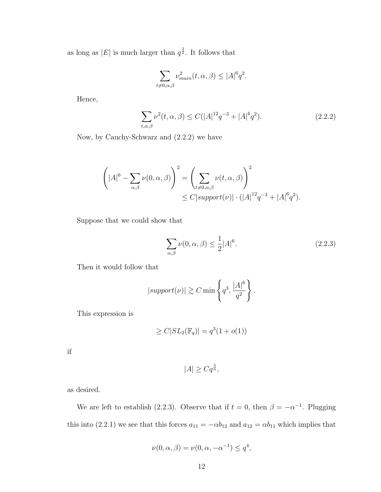as long as |E| is much larger than  $q^{\frac{3}{2}}$ . It follows that

$$
\sum_{t\neq 0,\alpha,\beta}\nu_{main}^2(t,\alpha,\beta)\leq |A|^6q^2.
$$

Hence,

$$
\sum_{t,\alpha,\beta} \nu^2(t,\alpha,\beta) \le C(|A|^{12}q^{-3} + |A|^6q^2). \tag{2.2.2}
$$

Now, by Cauchy-Schwarz and (2.2.2) we have

$$
\left(|A|^6 - \sum_{\alpha,\beta} \nu(0,\alpha,\beta)\right)^2 = \left(\sum_{t \neq 0,\alpha,\beta} \nu(t,\alpha,\beta)\right)^2
$$
  

$$
\leq C|\text{support}(\nu)| \cdot (|A|^{12}q^{-3} + |A|^6q^2).
$$

Suppose that we could show that

$$
\sum_{\alpha,\beta} \nu(0,\alpha,\beta) \le \frac{1}{2}|A|^6. \tag{2.2.3}
$$

Then it would follow that

$$
|support(\nu)| \gtrsim C \min\left\{q^3, \frac{|A|^6}{q^2}\right\}.
$$

This expression is

$$
\geq C|SL_2(\mathbb{F}_q)| = q^3(1+o(1))
$$

if

$$
|A| \ge Cq^{\frac{5}{6}},
$$

as desired.

We are left to establish (2.2.3). Observe that if  $t = 0$ , then  $\beta = -\alpha^{-1}$ . Plugging this into (2.2.1) we see that this forces  $a_{11} = -\alpha b_{12}$  and  $a_{12} = \alpha b_{11}$  which implies that

$$
\nu(0, \alpha, \beta) = \nu(0, \alpha, -\alpha^{-1}) \le q^4,
$$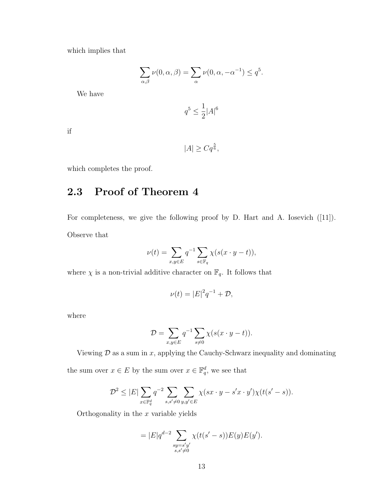which implies that

$$
\sum_{\alpha,\beta}\nu(0,\alpha,\beta) = \sum_{\alpha}\nu(0,\alpha,-\alpha^{-1}) \leq q^5.
$$

We have

$$
q^5 \leq \frac{1}{2}|A|^6
$$

if

$$
|A| \ge Cq^{\frac{5}{6}},
$$

which completes the proof.

## 2.3 Proof of Theorem 4

For completeness, we give the following proof by D. Hart and A. Iosevich ([11]). Observe that

$$
\nu(t) = \sum_{x,y \in E} q^{-1} \sum_{s \in \mathbb{F}_q} \chi(s(x \cdot y - t)),
$$

where  $\chi$  is a non-trivial additive character on  $\mathbb{F}_q$ . It follows that

$$
\nu(t) = |E|^2 q^{-1} + \mathcal{D},
$$

where

$$
\mathcal{D} = \sum_{x,y \in E} q^{-1} \sum_{s \neq 0} \chi(s(x \cdot y - t)).
$$

Viewing  $\mathcal D$  as a sum in x, applying the Cauchy-Schwarz inequality and dominating

the sum over  $x \in E$  by the sum over  $x \in \mathbb{F}_q^d$ , we see that

$$
\mathcal{D}^2 \leq |E| \sum_{x \in \mathbb{F}_q^d} q^{-2} \sum_{s,s' \neq 0} \sum_{y,y' \in E} \chi(sx \cdot y - s'x \cdot y') \chi(t(s'-s)).
$$

Orthogonality in the  $x$  variable yields

$$
= |E|q^{d-2} \sum_{\substack{sy=s'y' \\ s,s'\neq 0}} \chi(t(s'-s))E(y)E(y').
$$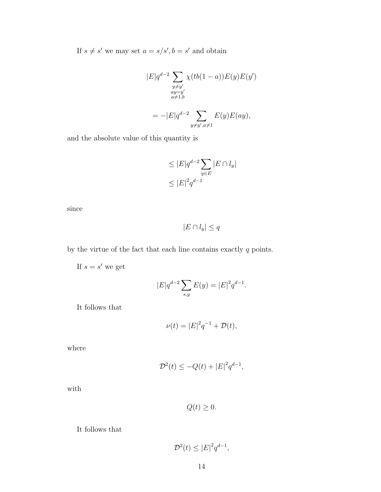If  $s \neq s'$  we may set  $a = s/s', b = s'$  and obtain

$$
|E|q^{d-2} \sum_{\substack{y \neq y' \\ ay = y' \\ a \neq 1,b}} \chi(tb(1-a))E(y)E(y')
$$
  
= 
$$
-|E|q^{d-2} \sum_{y \neq y', a \neq 1} E(y)E(ay),
$$

and the absolute value of this quantity is

$$
\leq |E|q^{d-2} \sum_{y \in E} |E \cap l_y|
$$
  

$$
\leq |E|^2 q^{d-1}
$$

since

$$
|E \cap l_y| \le q
$$

by the virtue of the fact that each line contains exactly  $q$  points.

If  $s = s'$  we get

$$
|E|q^{d-2} \sum_{s,y} E(y) = |E|^2 q^{d-1}.
$$

It follows that

$$
\nu(t) = |E|^2 q^{-1} + \mathcal{D}(t),
$$

where

$$
\mathcal{D}^2(t) \le -Q(t) + |E|^2 q^{d-1},
$$

with

 $Q(t) \geq 0.$ 

It follows that

$$
\mathcal{D}^2(t) \le |E|^2 q^{d-1},
$$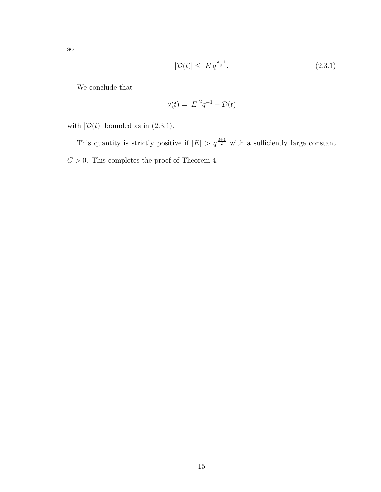$$
\overline{S}_0
$$

$$
|\mathcal{D}(t)| \le |E|q^{\frac{d-1}{2}}.\tag{2.3.1}
$$

We conclude that

$$
\nu(t) = |E|^2 q^{-1} + \mathcal{D}(t)
$$

with  $|\mathcal{D}(t)|$  bounded as in (2.3.1).

This quantity is strictly positive if  $|E| > q^{\frac{d+1}{2}}$  with a sufficiently large constant  $C > 0$ . This completes the proof of Theorem 4.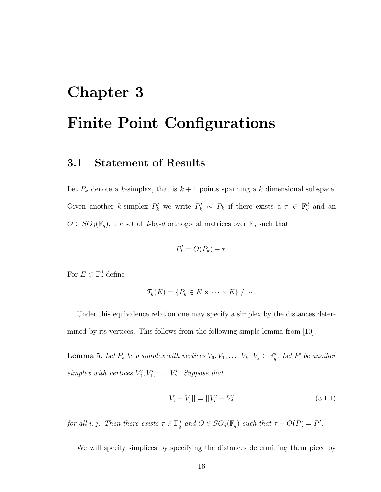# Chapter 3 Finite Point Configurations

## 3.1 Statement of Results

Let  $P_k$  denote a k-simplex, that is  $k + 1$  points spanning a k dimensional subspace. Given another k-simplex  $P'_k$  we write  $P'_k \sim P_k$  if there exists a  $\tau \in \mathbb{F}_q^d$  and an  $O \in SO_d(\mathbb{F}_q)$ , the set of d-by-d orthogonal matrices over  $\mathbb{F}_q$  such that

$$
P'_k = O(P_k) + \tau.
$$

For  $E \subset \mathbb{F}_q^d$  define

$$
\mathcal{T}_k(E) = \{P_k \in E \times \cdots \times E\} / \sim.
$$

Under this equivalence relation one may specify a simplex by the distances determined by its vertices. This follows from the following simple lemma from [10].

**Lemma 5.** Let  $P_k$  be a simplex with vertices  $V_0, V_1, \ldots, V_k, V_j \in \mathbb{F}_q^d$ . Let  $P'$  be another simplex with vertices  $V'_0, V'_1, \ldots, V'_k$ . Suppose that

$$
||V_i - V_j|| = ||V_i' - V_j'|| \tag{3.1.1}
$$

for all i, j. Then there exists  $\tau \in \mathbb{F}_q^d$  and  $O \in SO_d(\mathbb{F}_q)$  such that  $\tau + O(P) = P'$ .

We will specify simplices by specifying the distances determining them piece by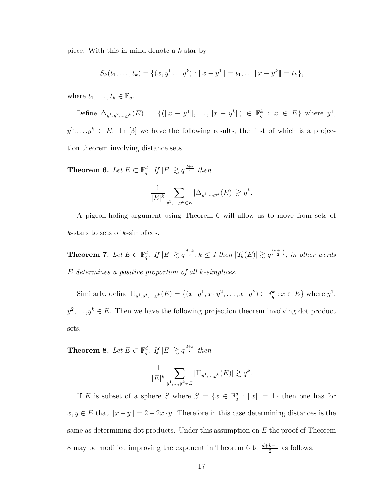piece. With this in mind denote a k-star by

$$
S_k(t_1,\ldots,t_k)=\{(x,y^1\ldots y^k):||x-y^1||=t_1,\ldots||x-y^k||=t_k\},\
$$

where  $t_1, \ldots, t_k \in \mathbb{F}_q$ .

Define  $\Delta_{y^1,y^2,\dots,y^k}(E) = \{(\|x-y^1\|,\dots,\|x-y^k\|) \in \mathbb{F}_q^k : x \in E\}$  where  $y^1$ ,  $y^2, \ldots, y^k \in E$ . In [3] we have the following results, the first of which is a projection theorem involving distance sets.

**Theorem 6.** Let  $E \subset \mathbb{F}_q^d$ . If  $|E| \gtrsim q^{\frac{d+k}{2}}$  then

$$
\frac{1}{|E|^k}\sum_{y^1,\ldots,y^k\in E}|\Delta_{y^1,\ldots,y^k}(E)|\gtrsim q^k.
$$

A pigeon-holing argument using Theorem 6 will allow us to move from sets of  $k$ -stars to sets of  $k$ -simplices.

**Theorem 7.** Let  $E \subset \mathbb{F}_q^d$ . If  $|E| \gtrsim q^{\frac{d+k}{2}}$ ,  $k \leq d$  then  $|\mathcal{T}_k(E)| \gtrsim q^{\binom{k+1}{2}}$ , in other words E determines a positive proportion of all k-simplices.

Similarly, define  $\Pi_{y^1, y^2, ..., y^k}(E) = \{(x \cdot y^1, x \cdot y^2, ..., x \cdot y^k) \in \mathbb{F}_q^k : x \in E\}$  where  $y^1$ ,  $y^2, \ldots, y^k \in E$ . Then we have the following projection theorem involving dot product sets.

**Theorem 8.** Let  $E \subset \mathbb{F}_q^d$ . If  $|E| \gtrsim q^{\frac{d+k}{2}}$  then

$$
\frac{1}{|E|^k} \sum_{y^1, \dots, y^k \in E} |\Pi_{y^1, \dots, y^k}(E)| \gtrsim q^k.
$$

If E is subset of a sphere S where  $S = \{x \in \mathbb{F}_q^d : ||x|| = 1\}$  then one has for  $x, y \in E$  that  $||x - y|| = 2 - 2x \cdot y$ . Therefore in this case determining distances is the same as determining dot products. Under this assumption on  $E$  the proof of Theorem 8 may be modified improving the exponent in Theorem 6 to  $\frac{d+k-1}{2}$  as follows.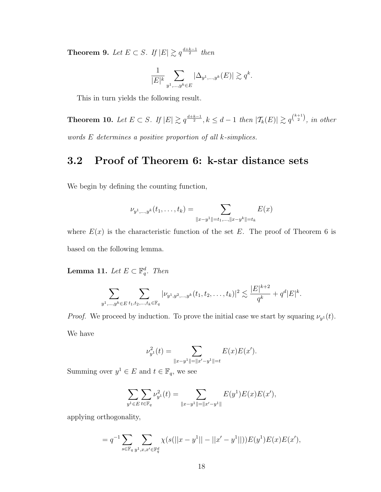**Theorem 9.** Let  $E \subset S$ . If  $|E| \geq q^{\frac{d+k-1}{2}}$  then

$$
\frac{1}{|E|^k} \sum_{y^1,\ldots,y^k \in E} |\Delta_{y^1,\ldots,y^k}(E)| \gtrsim q^k.
$$

This in turn yields the following result.

Theorem 10. Let  $E \subset S$ . If  $|E| \gtrsim q^{\frac{d+k-1}{2}}$ ,  $k \leq d-1$  then  $|\mathcal{T}_k(E)| \gtrsim q^{\binom{k+1}{2}}$ , in other words E determines a positive proportion of all k-simplices.

### 3.2 Proof of Theorem 6: k-star distance sets

We begin by defining the counting function,

$$
\nu_{y^1,\ldots,y^k}(t_1,\ldots,t_k) = \sum_{\|x-y^1\|=t_1,\ldots,\|x-y^k\|=t_k} E(x)
$$

where  $E(x)$  is the characteristic function of the set E. The proof of Theorem 6 is based on the following lemma.

**Lemma 11.** Let  $E \subset \mathbb{F}_q^d$ . Then

$$
\sum_{y^1,\ldots,y^k\in E} \sum_{t_1,t_2,\ldots,t_k\in \mathbb{F}_q} |\nu_{y^1,y^2,\ldots,y^k}(t_1,t_2,\ldots,t_k)|^2 \lesssim \frac{|E|^{k+2}}{q^k} + q^d |E|^k.
$$

*Proof.* We proceed by induction. To prove the initial case we start by squaring  $\nu_{y}$  (*t*). We have

$$
\nu_{y^1}^2(t) = \sum_{\|x-y^1\|=\|x'-y^1\|=t} E(x)E(x').
$$

Summing over  $y^1 \in E$  and  $t \in \mathbb{F}_q$ , we see

$$
\sum_{y^1 \in E} \sum_{t \in \mathbb{F}_q} \nu_{y^1}^2(t) = \sum_{\|x-y^1\| = \|x'-y^1\|} E(y^1) E(x) E(x'),
$$

applying orthogonality,

$$
= q^{-1} \sum_{s \in \mathbb{F}_q} \sum_{y^1, x, x' \in \mathbb{F}_q^d} \chi(s(||x - y^1|| - ||x' - y^1||)) E(y^1) E(x) E(x'),
$$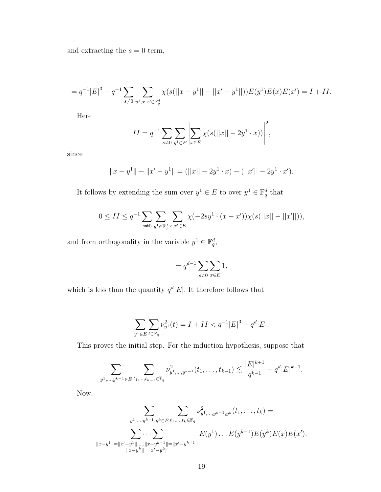and extracting the  $s = 0$  term,

$$
= q^{-1}|E|^3 + q^{-1} \sum_{s \neq 0} \sum_{y^1, x, x' \in \mathbb{F}_q^d} \chi(s(||x - y^1|| - ||x' - y^1||)) E(y^1) E(x) E(x') = I + II.
$$

Here

$$
II = q^{-1} \sum_{s \neq 0} \sum_{y^1 \in E} \left| \sum_{x \in E} \chi(s(||x|| - 2y^1 \cdot x)) \right|^2,
$$

since

$$
||x - y1|| - ||x' - y1|| = (||x|| - 2y1 \cdot x) - (||x'|| - 2y1 \cdot x').
$$

It follows by extending the sum over  $y^1 \in E$  to over  $y^1 \in \mathbb{F}_q^d$  that

$$
0 \le II \le q^{-1} \sum_{s \ne 0} \sum_{y^1 \in \mathbb{F}_q^d} \sum_{x, x' \in E} \chi(-2sy^1 \cdot (x - x')) \chi(s(||x|| - ||x'||)),
$$

and from orthogonality in the variable  $y^1 \in \mathbb{F}_q^d$ ,

$$
= q^{d-1} \sum_{s \neq 0} \sum_{x \in E} 1,
$$

which is less than the quantity  $q^d |E|$ . It therefore follows that

$$
\sum_{y^1 \in E} \sum_{t \in \mathbb{F}_q} \nu_{y^1}^2(t) = I + II < q^{-1} |E|^3 + q^d |E|.
$$

This proves the initial step. For the induction hypothesis, suppose that

$$
\sum_{y^1,\ldots,y^{k-1}\in E} \sum_{t_1,\ldots,t_{k-1}\in \mathbb{F}_q} \nu_{y^1,\ldots,y^{k-1}}^2(t_1,\ldots,t_{k-1}) \lesssim \frac{|E|^{k+1}}{q^{k-1}}+q^d|E|^{k-1}.
$$

Now,

$$
\sum_{y^1,\ldots,y^{k-1},y^k \in E} \sum_{t_1,\ldots,t_k \in \mathbb{F}_q} \nu_{y^1,\ldots,y^{k-1},y^k}^2(t_1,\ldots,t_k) =
$$

$$
\sum_{\|x-y^1\|=\|x'-y^1\|,\ldots,\|x-y^{k-1}\|=\|x'-y^{k-1}\|} E(y^1)\ldots E(y^{k-1}) E(y^k) E(x) E(x').
$$
  

$$
\|x-y^1\|=\|x'-y^k\|=\|x'-y^k\|
$$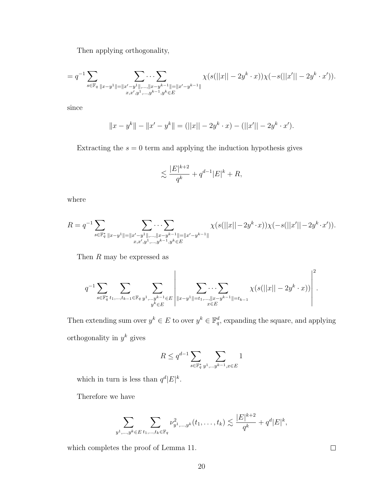Then applying orthogonality,

$$
= q^{-1} \sum_{s \in \mathbb{F}_q} \sum_{\|x-y^1\| = \|x'-y^1\|, \dots, \|x-y^{k-1}\| = \|x'-y^{k-1}\|} \chi(s(||x|| - 2y^k \cdot x))\chi(-s(||x'|| - 2y^k \cdot x')).
$$
  

$$
\chi(s(||x|| - 2y^k \cdot x))\chi(-s(||x'|| - 2y^k \cdot x')).
$$

since

$$
||x - y^{k}|| - ||x' - y^{k}|| = (||x|| - 2y^{k} \cdot x) - (||x'|| - 2y^{k} \cdot x').
$$

Extracting the  $s = 0$  term and applying the induction hypothesis gives

$$
\lesssim \frac{|E|^{k+2}}{q^k} + q^{d-1} |E|^k + R,
$$

where

$$
R = q^{-1} \sum_{s \in \mathbb{F}_q^*} \sum_{\|x - y^1\| = \|x' - y^1\|, \dots, \|x - y^{k-1}\| = \|x' - y^{k-1}\|} \chi(s(||x|| - 2y^k \cdot x))\chi(-s(||x'|| - 2y^k \cdot x')).
$$
  

$$
\chi(s(||x|| - 2y^k \cdot x))\chi(-s(||x'|| - 2y^k \cdot x')).
$$

Then  $R$  may be expressed as

$$
q^{-1} \sum_{s \in \mathbb{F}_q^*} \sum_{t_1, \dots, t_{k-1} \in \mathbb{F}_q} \sum_{\substack{y^1, \dots, y^{k-1} \in E \\ y^k \in E}} \left| \sum_{\|x - y^1\| = t_1, \dots, \|x - y^{k-1}\| = t_{k-1}} \chi(s(\|x\| - 2y^k \cdot x)) \right|^2.
$$

Then extending sum over  $y^k \in E$  to over  $y^k \in \mathbb{F}_q^d$ , expanding the square, and applying orthogonality in  $y^k$  gives

$$
R \le q^{d-1} \sum_{s \in \mathbb{F}_q^*} \sum_{y^1, \dots y^{k-1}, x \in E} 1
$$

which in turn is less than  $q^d |E|^k$ .

Therefore we have

$$
\sum_{y^1,\dots,y^k \in E} \sum_{t_1,\dots,t_k \in \mathbb{F}_q} \nu_{y^1,\dots,y^k}^2(t_1,\dots,t_k) \lesssim \frac{|E|^{k+2}}{q^k} + q^d |E|^k,
$$

which completes the proof of Lemma 11.

 $\hfill \square$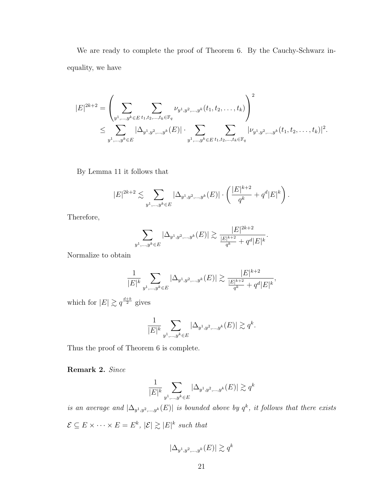We are ready to complete the proof of Theorem 6. By the Cauchy-Schwarz inequality, we have

$$
|E|^{2k+2} = \left(\sum_{y^1,\dots,y^k \in E} \sum_{t_1,t_2,\dots,t_k \in \mathbb{F}_q} \nu_{y^1,y^2,\dots,y^k}(t_1,t_2,\dots,t_k)\right)^2
$$
  

$$
\leq \sum_{y^1,\dots,y^k \in E} |\Delta_{y^1,y^2,\dots,y^k}(E)| \cdot \sum_{y^1,\dots,y^k \in E} \sum_{t_1,t_2,\dots,t_k \in \mathbb{F}_q} |\nu_{y^1,y^2,\dots,y^k}(t_1,t_2,\dots,t_k)|^2.
$$

By Lemma 11 it follows that

$$
|E|^{2k+2} \lesssim \sum_{y^1,\dots,y^k \in E} |\Delta_{y^1,y^2,\dots,y^k}(E)| \cdot \left( \frac{|E|^{k+2}}{q^k} + q^d |E|^k \right).
$$

Therefore,

$$
\sum_{y^1,\dots,y^k \in E} |\Delta_{y^1,y^2,\dots,y^k}(E)| \gtrsim \frac{|E|^{2k+2}}{\frac{|E|^{k+2}}{q^k} + q^d |E|^k}.
$$

Normalize to obtain

$$
\frac{1}{|E|^k} \sum_{y^1, \dots, y^k \in E} |\Delta_{y^1, y^2, \dots, y^k}(E)| \gtrsim \frac{|E|^{k+2}}{\frac{|E|^{k+2}}{q^k} + q^d |E|^k},
$$

which for  $|E| \gtrsim q^{\frac{d+k}{2}}$  gives

$$
\frac{1}{|E|^k}\sum_{y^1,\ldots,y^k\in E}|\Delta_{y^1,y^2,\ldots,y^k}(E)|\gtrsim q^k.
$$

Thus the proof of Theorem 6 is complete.

Remark 2. Since

$$
\frac{1}{|E|^k}\sum_{y^1,\ldots,y^k\in E}|\Delta_{y^1,y^2,\ldots,y^k}(E)|\gtrsim q^k
$$

is an average and  $|\Delta_{y^1,y^2,\dots,y^k}(E)|$  is bounded above by  $q^k$ , it follows that there exists  $\mathcal{E} \subseteq E \times \cdots \times E = E^k$ ,  $|\mathcal{E}| \gtrsim |E|^k$  such that

$$
|\Delta_{y^1, y^2, \dots, y^k}(E)| \gtrsim q^k
$$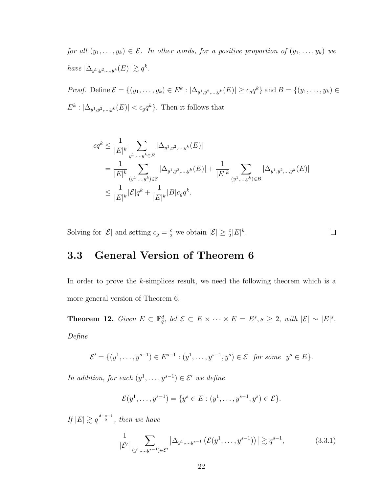for all  $(y_1, \ldots, y_k) \in \mathcal{E}$ . In other words, for a positive proportion of  $(y_1, \ldots, y_k)$  we have  $|\Delta_{y^1,y^2,...,y^k}(E)| \gtrsim q^k$ .

*Proof.* Define  $\mathcal{E} = \{(y_1, ..., y_k) \in E^k : |\Delta_{y^1, y^2, ..., y^k}(E)| \ge c_g q^k\}$  and  $B = \{(y_1, ..., y_k) \in E^k\}$  $E^k: |\Delta_{y^1, y^2, ..., y^k}(E)| < c_g q^k$ . Then it follows that

$$
cq^{k} \leq \frac{1}{|E|^{k}} \sum_{y^{1}, \dots, y^{k} \in E} |\Delta_{y^{1}, y^{2}, \dots, y^{k}}(E)|
$$
  
= 
$$
\frac{1}{|E|^{k}} \sum_{(y^{1}, \dots, y^{k}) \in \mathcal{E}} |\Delta_{y^{1}, y^{2}, \dots, y^{k}}(E)| + \frac{1}{|E|^{k}} \sum_{(y^{1}, \dots, y^{k}) \in B} |\Delta_{y^{1}, y^{2}, \dots, y^{k}}(E)|
$$
  

$$
\leq \frac{1}{|E|^{k}} |\mathcal{E}| q^{k} + \frac{1}{|E|^{k}} |B| c_{g} q^{k}.
$$

Solving for  $|\mathcal{E}|$  and setting  $c_g = \frac{c}{2}$  we obtain  $|\mathcal{E}| \geq \frac{c}{2}|E|^k$ .

 $\Box$ 

## 3.3 General Version of Theorem 6

In order to prove the k-simplices result, we need the following theorem which is a more general version of Theorem 6.

**Theorem 12.** Given  $E \subset \mathbb{F}_q^d$ , let  $\mathcal{E} \subset E \times \cdots \times E = E^s$ ,  $s \geq 2$ , with  $|\mathcal{E}| \sim |E|^s$ . Define

$$
\mathcal{E}' = \{ (y^1, \dots, y^{s-1}) \in E^{s-1} : (y^1, \dots, y^{s-1}, y^s) \in \mathcal{E} \text{ for some } y^s \in E \}.
$$

In addition, for each  $(y^1, \ldots, y^{s-1}) \in \mathcal{E}'$  we define

$$
\mathcal{E}(y^1, \dots, y^{s-1}) = \{y^s \in E : (y^1, \dots, y^{s-1}, y^s) \in \mathcal{E}\}.
$$

If  $|E| \gtrsim q^{\frac{d+s-1}{2}}$ , then we have

$$
\frac{1}{|\mathcal{E}'|} \sum_{(y^1,\ldots,y^{s-1}) \in \mathcal{E}'} \left| \Delta_{y^1,\ldots,y^{s-1}} \left( \mathcal{E}(y^1,\ldots,y^{s-1}) \right) \right| \gtrsim q^{s-1},\tag{3.3.1}
$$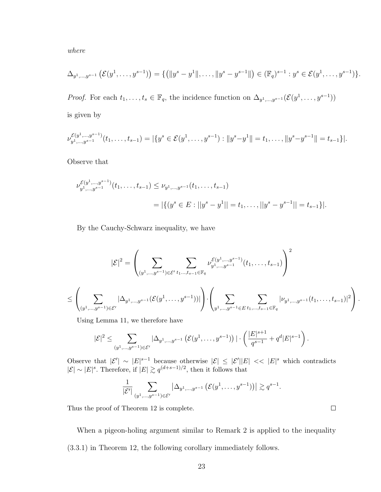where

$$
\Delta_{y^1,\ldots,y^{s-1}}\left(\mathcal{E}(y^1,\ldots,y^{s-1})\right)=\{(\|y^s-y^1\|,\ldots,\|y^s-y^{s-1}\|)\in (\mathbb{F}_q)^{s-1}: y^s\in \mathcal{E}(y^1,\ldots,y^{s-1})\}.
$$

*Proof.* For each  $t_1, \ldots, t_s \in \mathbb{F}_q$ , the incidence function on  $\Delta_{y^1,\ldots,y^{s-1}}(\mathcal{E}(y^1,\ldots,y^{s-1}))$ is given by

$$
\nu_{y^1,\ldots,y^{s-1}}^{\mathcal{E}(y^1,\ldots,y^{s-1})}(t_1,\ldots,t_{s-1})=|\{y^s\in \mathcal{E}(y^1,\ldots,y^{s-1}): ||y^s-y^1||=t_1,\ldots,||y^s-y^{s-1}||=t_{s-1}\}|.
$$

Observe that

$$
\nu_{y^1,\dots,y^{s-1}}^{\mathcal{E}(y^1,\dots,y^{s-1})}(t_1,\dots,t_{s-1}) \leq \nu_{y^1,\dots,y^{s-1}}(t_1,\dots,t_{s-1})
$$
  
=  $|\{(y^s \in E : ||y^s - y^1|| = t_1,\dots,||y^s - y^{s-1}|| = t_{s-1}\}|.$ 

By the Cauchy-Schwarz inequality, we have

$$
|\mathcal{E}|^2 = \left(\sum_{(y^1,\ldots,y^{s-1})\in \mathcal{E}'}\sum_{t_1,\ldots,t_{s-1}\in \mathbb{F}_q} \nu^{\mathcal{E}(y^1,\ldots,y^{s-1})}_{y^1,\ldots,y^{s-1}}(t_1,\ldots,t_{s-1})\right)^2\\ \leq \left(\sum_{(y^1,\ldots,y^{s-1})\in \mathcal{E}'} |\Delta_{y^1,\ldots,y^{s-1}}(\mathcal{E}(y^1,\ldots,y^{s-1}))|\right)\cdot \left(\sum_{y^1,\ldots,y^{s-1}\in E} \sum_{t_1,\ldots,t_{s-1}\in \mathbb{F}_q} |\nu_{y^1,\ldots,y^{s-1}}(t_1,\ldots,t_{s-1})|^2\right).
$$

Using Lemma 11, we therefore have

$$
|\mathcal{E}|^2 \leq \sum_{(y^1,\ldots,y^{s-1})\in \mathcal{E}'} |\Delta_{y^1,\ldots,y^{s-1}} (\mathcal{E}(y^1,\ldots,y^{s-1}))| \cdot \left(\frac{|E|^{s+1}}{q^{s-1}} + q^d |E|^{s-1}\right).
$$

Observe that  $|\mathcal{E}'| \sim |E|^{s-1}$  because otherwise  $|\mathcal{E}| \leq |\mathcal{E}'| |E| \ll |E|^s$  which contradicts  $|\mathcal{E}|$  ~  $|E|$ <sup>s</sup>. Therefore, if  $|E|$   $\gtrsim$   $q^{(d+s-1)/2}$ , then it follows that

$$
\frac{1}{|\mathcal{E}'|} \sum_{(y^1,\ldots,y^{s-1}) \in \mathcal{E}'} |\Delta_{y^1,\ldots,y^{s-1}} (\mathcal{E}(y^1,\ldots,y^{s-1}))| \gtrsim q^{s-1}
$$

Thus the proof of Theorem 12 is complete.

When a pigeon-holing argument similar to Remark 2 is applied to the inequality (3.3.1) in Theorem 12, the following corollary immediately follows.

 $\Box$ 

.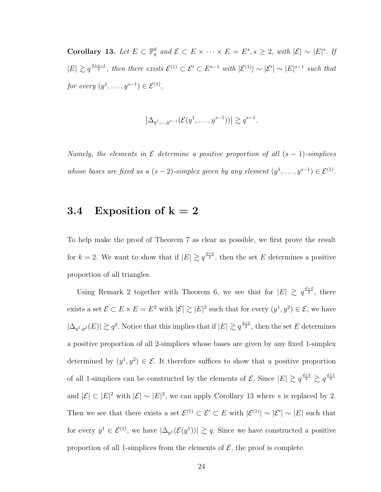Corollary 13. Let  $E \subset \mathbb{F}_q^d$  and  $\mathcal{E} \subset E \times \cdots \times E = E^s$ ,  $s \geq 2$ , with  $|\mathcal{E}| \sim |E|^s$ . If  $|E| \gtrsim q^{\frac{d+s-1}{2}}$ , then there exists  $\mathcal{E}^{(1)} \subset \mathcal{E}' \subset E^{s-1}$  with  $|\mathcal{E}^{(1)}| \sim |\mathcal{E}'| \sim |E|^{s-1}$  such that for every  $(y^1, \ldots, y^{s-1}) \in \mathcal{E}^{(1)}$ ,

$$
\left|\Delta_{y^1,\ldots,y^{s-1}}(\mathcal{E}(y^1,\ldots,y^{s-1}))\right| \gtrsim q^{s-1}.
$$

Namely, the elements in  $\mathcal E$  determine a positive proportion of all  $(s - 1)$ -simplices whose bases are fixed as a  $(s-2)$ -simplex given by any element  $(y^1, \ldots, y^{s-1}) \in \mathcal{E}^{(1)}$ .

### 3.4 Exposition of  $k = 2$

To help make the proof of Theorem 7 as clear as possible, we first prove the result for  $k = 2$ . We want to show that if  $|E| \gtrsim q^{\frac{d+2}{2}}$ , then the set E determines a positive proportion of all triangles.

Using Remark 2 together with Theorem 6, we see that for  $|E| \geq q^{\frac{d+2}{2}}$ , there exists a set  $\mathcal{E} \subset E \times E = E^2$  with  $|\mathcal{E}| \gtrsim |E|^2$  such that for every  $(y^1, y^2) \in \mathcal{E}$ , we have  $|\Delta_{y^1,y^2}(E)| \gtrsim q^2$ . Notice that this implies that if  $|E| \gtrsim q^{\frac{d+2}{2}}$ , then the set E determines a positive proportion of all 2-simplices whose bases are given by any fixed 1-simplex determined by  $(y^1, y^2) \in \mathcal{E}$ . It therefore suffices to show that a positive proportion of all 1-simplices can be constructed by the elements of  $\mathcal{E}$ . Since  $|E| \gtrsim q^{\frac{d+2}{2}} \gtrsim q^{\frac{d+1}{2}}$ and  $|\mathcal{E}| \subset |E|^2$  with  $|\mathcal{E}| \sim |E|^2$ , we can apply Corollary 13 where s is replaced by 2. Then we see that there exists a set  $\mathcal{E}^{(1)} \subset \mathcal{E}' \subset E$  with  $|\mathcal{E}^{(1)}| \sim |\mathcal{E}'| \sim |E|$  such that for every  $y^1 \in \mathcal{E}^{(1)}$ , we have  $|\Delta_{y^1}(\mathcal{E}(y^1))| \gtrsim q$ . Since we have constructed a positive proportion of all 1-simplices from the elements of  $\mathcal{E}$ , the proof is complete.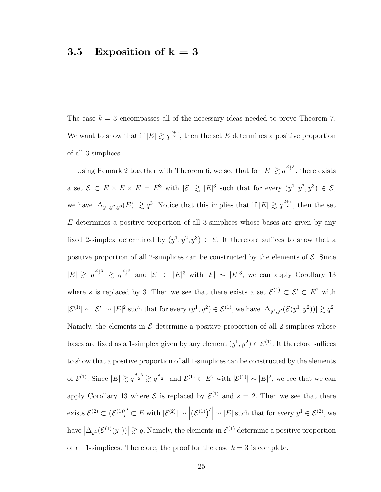### 3.5 Exposition of  $k = 3$

The case  $k = 3$  encompasses all of the necessary ideas needed to prove Theorem 7. We want to show that if  $|E| \gtrsim q^{\frac{d+3}{2}}$ , then the set E determines a positive proportion of all 3-simplices.

Using Remark 2 together with Theorem 6, we see that for  $|E| \gtrsim q^{\frac{d+3}{2}}$ , there exists a set  $\mathcal{E} \subset E \times E \times E = E^3$  with  $|\mathcal{E}| \geq |E|^3$  such that for every  $(y^1, y^2, y^3) \in \mathcal{E}$ , we have  $|\Delta_{y^1,y^2,y^3}(E)| \gtrsim q^3$ . Notice that this implies that if  $|E| \gtrsim q^{\frac{d+3}{2}}$ , then the set  $E$  determines a positive proportion of all 3-simplices whose bases are given by any fixed 2-simplex determined by  $(y^1, y^2, y^3) \in \mathcal{E}$ . It therefore suffices to show that a positive proportion of all 2-simplices can be constructed by the elements of  $\mathcal{E}$ . Since  $|E| \geq q^{\frac{d+3}{2}} \geq q^{\frac{d+2}{2}}$  and  $|\mathcal{E}| \subset |E|^3$  with  $|\mathcal{E}| \sim |E|^3$ , we can apply Corollary 13 where s is replaced by 3. Then we see that there exists a set  $\mathcal{E}^{(1)} \subset \mathcal{E}' \subset E^2$  with  $|\mathcal{E}^{(1)}| \sim |\mathcal{E}'| \sim |E|^2$  such that for every  $(y^1, y^2) \in \mathcal{E}^{(1)}$ , we have  $|\Delta_{y^1, y^2}(\mathcal{E}(y^1, y^2))| \gtrsim q^2$ . Namely, the elements in  $\mathcal E$  determine a positive proportion of all 2-simplices whose bases are fixed as a 1-simplex given by any element  $(y^1, y^2) \in \mathcal{E}^{(1)}$ . It therefore suffices to show that a positive proportion of all 1-simplices can be constructed by the elements of  $\mathcal{E}^{(1)}$ . Since  $|E| \gtrsim q^{\frac{d+3}{2}} \gtrsim q^{\frac{d+1}{2}}$  and  $\mathcal{E}^{(1)} \subset E^2$  with  $|\mathcal{E}^{(1)}| \sim |E|^2$ , we see that we can apply Corollary 13 where  $\mathcal E$  is replaced by  $\mathcal E^{(1)}$  and  $s=2$ . Then we see that there exists  $\mathcal{E}^{(2)} \subset (\mathcal{E}^{(1)})' \subset E$  with  $|\mathcal{E}^{(2)}| \sim$  $(\mathcal{E}^{(1)})'$  ~  $|E|$  such that for every  $y^1 \in \mathcal{E}^{(2)}$ , we have  $\left|\Delta_{y^1}(\mathcal{E}^{(1)}(y^1))\right| \gtrsim q$ . Namely, the elements in  $\mathcal{E}^{(1)}$  determine a positive proportion of all 1-simplices. Therefore, the proof for the case  $k = 3$  is complete.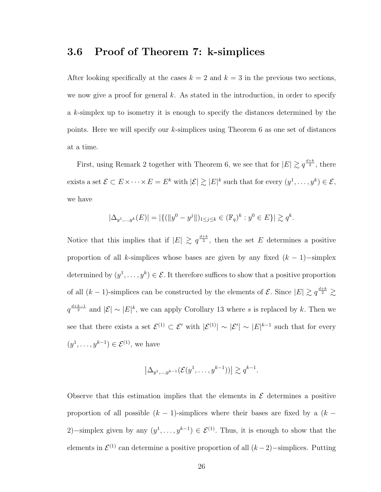### 3.6 Proof of Theorem 7: k-simplices

After looking specifically at the cases  $k = 2$  and  $k = 3$  in the previous two sections, we now give a proof for general  $k$ . As stated in the introduction, in order to specify a k-simplex up to isometry it is enough to specify the distances determined by the points. Here we will specify our k-simplices using Theorem 6 as one set of distances at a time.

First, using Remark 2 together with Theorem 6, we see that for  $|E| \gtrsim q^{\frac{d+k}{2}}$ , there exists a set  $\mathcal{E} \subset E \times \cdots \times E = E^k$  with  $|\mathcal{E}| \gtrsim |E|^k$  such that for every  $(y^1, \ldots, y^k) \in \mathcal{E}$ , we have

$$
|\Delta_{y^1,\dots,y^k}(E)| = |\{ (||y^0 - y^j||)_{1 \le j \le k} \in (\mathbb{F}_q)^k : y^0 \in E \}| \gtrsim q^k.
$$

Notice that this implies that if  $|E| \geq q^{\frac{d+k}{2}}$ , then the set E determines a positive proportion of all k-simplices whose bases are given by any fixed  $(k - 1)$ −simplex determined by  $(y^1, \ldots, y^k) \in \mathcal{E}$ . It therefore suffices to show that a positive proportion of all  $(k-1)$ -simplices can be constructed by the elements of  $\mathcal{E}$ . Since  $|E| \gtrsim q^{\frac{d+k}{2}} \gtrsim$  $q^{\frac{d+k-1}{2}}$  and  $|\mathcal{E}| \sim |E|^k$ , we can apply Corollary 13 where s is replaced by k. Then we see that there exists a set  $\mathcal{E}^{(1)} \subset \mathcal{E}'$  with  $|\mathcal{E}^{(1)}| \sim |\mathcal{E}'| \sim |E|^{k-1}$  such that for every  $(y^1, \ldots, y^{k-1}) \in \mathcal{E}^{(1)}$ , we have

$$
\left|\Delta_{y^1,\ldots,y^{k-1}}(\mathcal{E}(y^1,\ldots,y^{k-1}))\right| \gtrsim q^{k-1}.
$$

Observe that this estimation implies that the elements in  $\mathcal E$  determines a positive proportion of all possible  $(k - 1)$ -simplices where their bases are fixed by a  $(k - 1)$ 2)–simplex given by any  $(y^1, \ldots, y^{k-1}) \in \mathcal{E}^{(1)}$ . Thus, it is enough to show that the elements in  $\mathcal{E}^{(1)}$  can determine a positive proportion of all  $(k-2)$ -simplices. Putting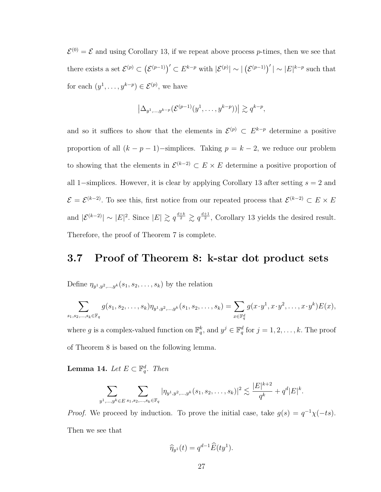$\mathcal{E}^{(0)} = \mathcal{E}$  and using Corollary 13, if we repeat above process p-times, then we see that there exists a set  $\mathcal{E}^{(p)} \subset (\mathcal{E}^{(p-1)})' \subset E^{k-p}$  with  $|\mathcal{E}^{(p)}| \sim |(\mathcal{E}^{(p-1)})'| \sim |E|^{k-p}$  such that for each  $(y^1, \ldots, y^{k-p}) \in \mathcal{E}^{(p)}$ , we have

$$
\left|\Delta_{y^1,\ldots,y^{k-p}}(\mathcal{E}^{(p-1)}(y^1,\ldots,y^{k-p}))\right| \gtrsim q^{k-p},
$$

and so it suffices to show that the elements in  $\mathcal{E}^{(p)} \subset E^{k-p}$  determine a positive proportion of all  $(k - p - 1)$ -simplices. Taking  $p = k - 2$ , we reduce our problem to showing that the elements in  $\mathcal{E}^{(k-2)} \subset E \times E$  determine a positive proportion of all 1–simplices. However, it is clear by applying Corollary 13 after setting  $s = 2$  and  $\mathcal{E} = \mathcal{E}^{(k-2)}$ . To see this, first notice from our repeated process that  $\mathcal{E}^{(k-2)} \subset E \times E$ and  $|\mathcal{E}^{(k-2)}| \sim |E|^2$ . Since  $|E| \gtrsim q^{\frac{d+k}{2}} \gtrsim q^{\frac{d+1}{2}}$ , Corollary 13 yields the desired result. Therefore, the proof of Theorem 7 is complete.

### 3.7 Proof of Theorem 8: k-star dot product sets

Define  $\eta_{y^1,y^2,\dots,y^k}(s_1,s_2,\dots,s_k)$  by the relation

$$
\sum_{s_1, s_2, \dots, s_k \in \mathbb{F}_q} g(s_1, s_2, \dots, s_k) \eta_{y^1, y^2, \dots, y^k}(s_1, s_2, \dots, s_k) = \sum_{x \in \mathbb{F}_q^d} g(x \cdot y^1, x \cdot y^2, \dots, x \cdot y^k) E(x),
$$

where g is a complex-valued function on  $\mathbb{F}_q^k$ , and  $y^j \in \mathbb{F}_q^d$  for  $j = 1, 2, \ldots, k$ . The proof of Theorem 8 is based on the following lemma.

**Lemma 14.** Let  $E \subset \mathbb{F}_q^d$ . Then

$$
\sum_{y^1,\ldots,y^k\in E} \sum_{s_1,s_2,\ldots,s_k\in \mathbb{F}_q} |\eta_{y^1,y^2,\ldots,y^k}(s_1,s_2,\ldots,s_k)|^2 \lesssim \frac{|E|^{k+2}}{q^k} + q^d |E|^k.
$$

*Proof.* We proceed by induction. To prove the initial case, take  $g(s) = q^{-1}\chi(-ts)$ . Then we see that

$$
\widehat{\eta}_{y^1}(t) = q^{d-1} \widehat{E}(ty^1).
$$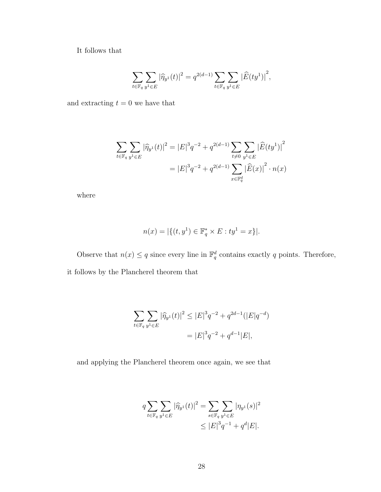It follows that

$$
\sum_{t\in \mathbb F_q}\sum_{y^1\in E}|\widehat{\eta}_{y^1}(t)|^2=q^{2(d-1)}\sum_{t\in \mathbb F_q}\sum_{y^1\in E}\big|\widehat{E}(ty^1)\big|^2,
$$

and extracting  $t = 0$  we have that

$$
\sum_{t \in \mathbb{F}_q} \sum_{y^1 \in E} |\widehat{\eta}_{y^1}(t)|^2 = |E|^3 q^{-2} + q^{2(d-1)} \sum_{t \neq 0} \sum_{y^1 \in E} |\widehat{E}(ty^1)|^2
$$

$$
= |E|^3 q^{-2} + q^{2(d-1)} \sum_{x \in \mathbb{F}_q^d} |\widehat{E}(x)|^2 \cdot n(x)
$$

where

$$
n(x) = |\{(t, y^1) \in \mathbb{F}_q^* \times E : ty^1 = x\}|.
$$

Observe that  $n(x) \leq q$  since every line in  $\mathbb{F}_q^d$  contains exactly q points. Therefore, it follows by the Plancherel theorem that

$$
\sum_{t \in \mathbb{F}_q} \sum_{y^1 \in E} |\widehat{\eta}_{y^1}(t)|^2 \le |E|^3 q^{-2} + q^{2d-1} (|E|q^{-d})
$$
  
=  $|E|^3 q^{-2} + q^{d-1} |E|$ ,

and applying the Plancherel theorem once again, we see that

$$
q \sum_{t \in \mathbb{F}_q} \sum_{y^1 \in E} |\widehat{\eta}_{y^1}(t)|^2 = \sum_{s \in \mathbb{F}_q} \sum_{y^1 \in E} |\eta_{y^1}(s)|^2
$$
  

$$
\leq |E|^3 q^{-1} + q^d |E|.
$$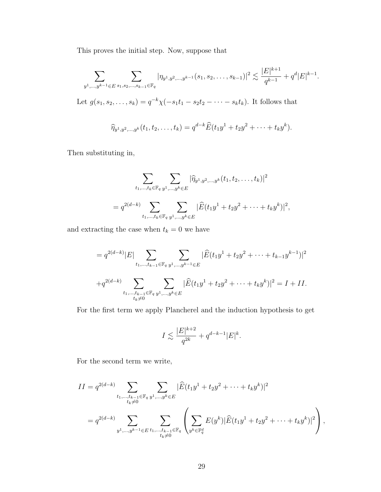This proves the initial step. Now, suppose that

$$
\sum_{y^1,\ldots,y^{k-1}\in E} \sum_{s_1,s_2,\ldots,s_{k-1}\in \mathbb{F}_q} |\eta_{y^1,y^2,\ldots,y^{k-1}}(s_1,s_2,\ldots,s_{k-1})|^2 \lesssim \frac{|E|^{k+1}}{q^{k-1}}+q^d|E|^{k-1}.
$$

Let  $g(s_1, s_2, \ldots, s_k) = q^{-k} \chi(-s_1 t_1 - s_2 t_2 - \cdots - s_k t_k)$ . It follows that

$$
\widehat{\eta}_{y^1,y^2,\dots,y^k}(t_1,t_2,\dots,t_k)=q^{d-k}\widehat{E}(t_1y^1+t_2y^2+\dots+t_ky^k).
$$

Then substituting in,

$$
\sum_{t_1,\dots,t_k \in \mathbb{F}_q} \sum_{y^1,\dots,y^k \in E} |\widehat{\eta}_{y^1,y^2,\dots,y^k}(t_1,t_2,\dots,t_k)|^2
$$
  
=  $q^{2(d-k)} \sum_{t_1,\dots,t_k \in \mathbb{F}_q} \sum_{y^1,\dots,y^k \in E} |\widehat{E}(t_1y^1+t_2y^2+\dots+t_ky^k)|^2$ ,

and extracting the case when  $t_k = 0$  we have

$$
= q^{2(d-k)}|E|\sum_{t_1,\dots,t_{k-1}\in\mathbb{F}_q}\sum_{y^1,\dots,y^{k-1}\in E}|\widehat{E}(t_1y^1+t_2y^2+\dots+t_{k-1}y^{k-1})|^2
$$
  
+
$$
+q^{2(d-k)}\sum_{t_1,\dots,t_{k-1}\in\mathbb{F}_q}\sum_{y^1,\dots,y^k\in E}|\widehat{E}(t_1y^1+t_2y^2+\dots+t_ky^k)|^2=I+II.
$$

For the first term we apply Plancherel and the induction hypothesis to get

$$
I \lesssim \frac{|E|^{k+2}}{q^{2k}} + q^{d-k-1} |E|^k.
$$

For the second term we write,

$$
II = q^{2(d-k)} \sum_{\substack{t_1,\dots,t_{k-1}\in\mathbb{F}_q\\t_k\neq 0}} \sum_{y^1,\dots,y^k\in E} |\widehat{E}(t_1y^1+t_2y^2+\dots+t_ky^k)|^2
$$
  
=  $q^{2(d-k)} \sum_{y^1,\dots,y^{k-1}\in E} \sum_{\substack{t_1,\dots,t_{k-1}\in\mathbb{F}_q\\t_k\neq 0}} \left( \sum_{y^k\in\mathbb{F}_q^d} E(y^k) |\widehat{E}(t_1y^1+t_2y^2+\dots+t_ky^k)|^2 \right),$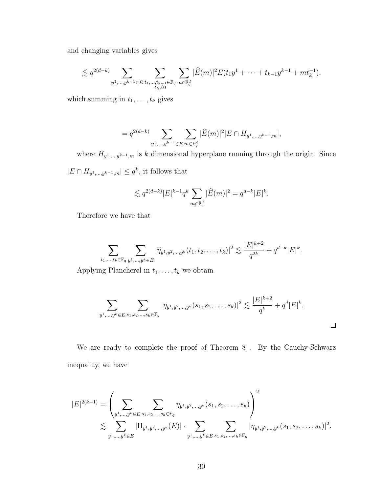and changing variables gives

$$
\lesssim q^{2(d-k)} \sum_{y^1,\dots,y^{k-1} \in E} \sum_{\substack{t_1,\dots,t_{k-1} \in \mathbb{F}_q \\ t_k \neq 0}} \sum_{m \in \mathbb{F}_q^d} |\widehat{E}(m)|^2 E(t_1 y^1 + \dots + t_{k-1} y^{k-1} + m t_k^{-1}),
$$

which summing in  $t_1, \ldots, t_k$  gives

$$
= q^{2(d-k)} \sum_{y^1,\dots,y^{k-1} \in E} \sum_{m \in \mathbb{F}_q^d} |\widehat{E}(m)|^2 |E \cap H_{y^1,\dots,y^{k-1},m}|,
$$

where  $H_{y^1,\dots,y^{k-1},m}$  is k dimensional hyperplane running through the origin. Since  $|E \cap H_{y^1,\dots,y^{k-1},m}| \leq q^k$ , it follows that

$$
\lesssim q^{2(d-k)}|E|^{k-1}q^k\sum_{m\in\mathbb{F}_q^d}|\widehat{E}(m)|^2=q^{d-k}|E|^k.
$$

Therefore we have that

$$
\sum_{t_1,\ldots,t_k\in\mathbb{F}_q}\sum_{y^1,\ldots,y^k\in E}|\widehat{\eta}_{y^1,y^2,\ldots,y^k}(t_1,t_2,\ldots,t_k)|^2\lesssim \frac{|E|^{k+2}}{q^{2k}}+q^{d-k}|E|^k.
$$

Applying Plancherel in  $t_1, \ldots, t_k$  we obtain

$$
\sum_{y^1,\dots,y^k \in E} \sum_{s_1,s_2,\dots,s_k \in \mathbb{F}_q} |\eta_{y^1,y^2,\dots,y^k}(s_1,s_2,\dots,s_k)|^2 \lesssim \frac{|E|^{k+2}}{q^k} + q^d |E|^k.
$$

We are ready to complete the proof of Theorem 8 . By the Cauchy-Schwarz inequality, we have

$$
|E|^{2(k+1)} = \left(\sum_{y^1,\dots,y^k \in E} \sum_{s_1,s_2,\dots,s_k \in \mathbb{F}_q} \eta_{y^1,y^2,\dots,y^k}(s_1,s_2,\dots,s_k)\right)^2
$$
  

$$
\lesssim \sum_{y^1,\dots,y^k \in E} |\Pi_{y^1,y^2,\dots,y^k}(E)| \cdot \sum_{y^1,\dots,y^k \in E} \sum_{s_1,s_2,\dots,s_k \in \mathbb{F}_q} |\eta_{y^1,y^2,\dots,y^k}(s_1,s_2,\dots,s_k)|^2.
$$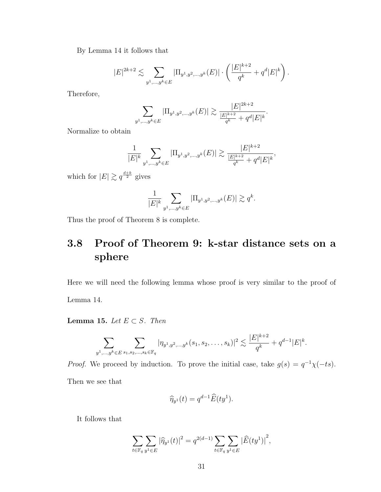By Lemma 14 it follows that

$$
|E|^{2k+2} \lesssim \sum_{y^1,\dots,y^k \in E} |\Pi_{y^1,y^2,\dots,y^k}(E)| \cdot \left( \frac{|E|^{k+2}}{q^k} + q^d |E|^k \right).
$$

Therefore,

$$
\sum_{y^1,\dots,y^k \in E} |\Pi_{y^1,y^2,\dots,y^k}(E)| \gtrsim \frac{|E|^{2k+2}}{\frac{|E|^{k+2}}{q^k} + q^d |E|^k}.
$$

Normalize to obtain

$$
\frac{1}{|E|^k} \sum_{y^1, \dots, y^k \in E} |\Pi_{y^1, y^2, \dots, y^k}(E)| \gtrsim \frac{|E|^{k+2}}{\frac{|E|^{k+2}}{q^k} + q^d |E|^k},
$$

which for  $|E| \gtrsim q^{\frac{d+k}{2}}$  gives

$$
\frac{1}{|E|^k} \sum_{y^1, \dots, y^k \in E} |\Pi_{y^1, y^2, \dots, y^k}(E)| \gtrsim q^k.
$$

Thus the proof of Theorem 8 is complete.

## 3.8 Proof of Theorem 9: k-star distance sets on a sphere

Here we will need the following lemma whose proof is very similar to the proof of Lemma 14.

Lemma 15. Let  $E \subset S$ . Then

$$
\sum_{y^1,\ldots,y^k \in E} \sum_{s_1,s_2,\ldots,s_k \in \mathbb{F}_q} |\eta_{y^1,y^2,\ldots,y^k}(s_1,s_2,\ldots,s_k)|^2 \lesssim \frac{|E|^{k+2}}{q^k} + q^{d-1}|E|^k.
$$

*Proof.* We proceed by induction. To prove the initial case, take  $g(s) = q^{-1}\chi(-ts)$ . Then we see that

$$
\widehat{\eta}_{y^1}(t) = q^{d-1} \widehat{E}(ty^1).
$$

It follows that

$$
\sum_{t \in \mathbb{F}_q} \sum_{y^1 \in E} |\widehat{\eta}_{y^1}(t)|^2 = q^{2(d-1)} \sum_{t \in \mathbb{F}_q} \sum_{y^1 \in E} |\widehat{E}(ty^1)|^2,
$$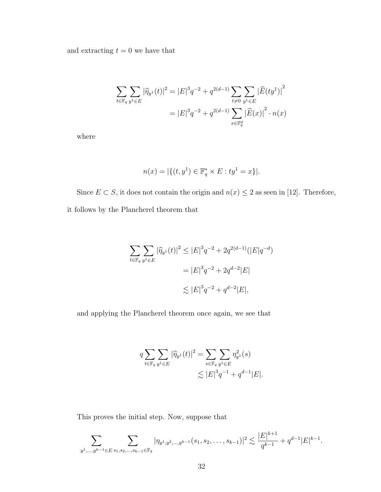and extracting  $t = 0$  we have that

$$
\sum_{t \in \mathbb{F}_q} \sum_{y^1 \in E} |\widehat{\eta}_{y^1}(t)|^2 = |E|^3 q^{-2} + q^{2(d-1)} \sum_{t \neq 0} \sum_{y^1 \in E} |\widehat{E}(ty^1)|^2
$$

$$
= |E|^3 q^{-2} + q^{2(d-1)} \sum_{x \in \mathbb{F}_q^d} |\widehat{E}(x)|^2 \cdot n(x)
$$

where

$$
n(x) = |\{(t, y^1) \in \mathbb{F}_q^* \times E : ty^1 = x\}|.
$$

Since  $E \subset S$ , it does not contain the origin and  $n(x) \leq 2$  as seen in [12]. Therefore, it follows by the Plancherel theorem that

$$
\sum_{t \in \mathbb{F}_q} \sum_{y^1 \in E} |\widehat{\eta}_{y^1}(t)|^2 \le |E|^3 q^{-2} + 2q^{2(d-1)} (|E|q^{-d})
$$
  
=  $|E|^3 q^{-2} + 2q^{d-2} |E|$   

$$
\lesssim |E|^3 q^{-2} + q^{d-2} |E|,
$$

and applying the Plancherel theorem once again, we see that

$$
q \sum_{t \in \mathbb{F}_q} \sum_{y^1 \in E} |\widehat{\eta}_{y^1}(t)|^2 = \sum_{s \in \mathbb{F}_q} \sum_{y^1 \in E} \eta_{y^1}^2(s)
$$
  

$$
\lesssim |E|^3 q^{-1} + q^{d-1} |E|.
$$

This proves the initial step. Now, suppose that

$$
\sum_{y^1,\ldots,y^{k-1}\in E} \sum_{s_1,s_2,\ldots,s_{k-1}\in \mathbb{F}_q} |\eta_{y^1,y^2,\ldots,y^{k-1}}(s_1,s_2,\ldots,s_{k-1})|^2 \lesssim \frac{|E|^{k+1}}{q^{k-1}}+q^{d-1}|E|^{k-1}.
$$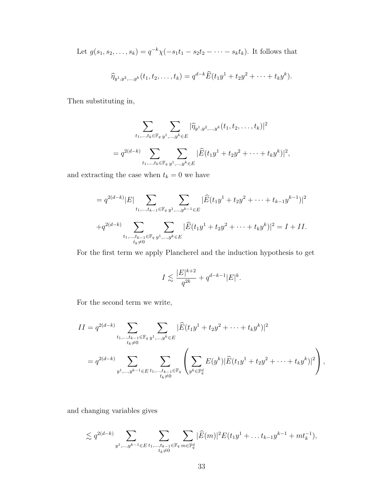Let  $g(s_1, s_2, \ldots, s_k) = q^{-k} \chi(-s_1 t_1 - s_2 t_2 - \cdots - s_k t_k)$ . It follows that

$$
\widehat{\eta}_{y^1,y^2,\dots,y^k}(t_1,t_2,\dots,t_k)=q^{d-k}\widehat{E}(t_1y^1+t_2y^2+\dots+t_ky^k).
$$

Then substituting in,

$$
\sum_{t_1,\dots,t_k \in \mathbb{F}_q} \sum_{y^1,\dots,y^k \in E} |\widehat{\eta}_{y^1,y^2,\dots,y^k}(t_1,t_2,\dots,t_k)|^2
$$
  
=  $q^{2(d-k)} \sum_{t_1,\dots,t_k \in \mathbb{F}_q} \sum_{y^1,\dots,y^k \in E} |\widehat{E}(t_1y^1+t_2y^2+\dots+t_ky^k)|^2$ ,

and extracting the case when  $t_k = 0$  we have

$$
= q^{2(d-k)}|E|\sum_{t_1,\dots,t_{k-1}\in\mathbb{F}_q}\sum_{y^1,\dots,y^{k-1}\in E}|\widehat{E}(t_1y^1+t_2y^2+\dots+t_{k-1}y^{k-1})|^2
$$
  
+
$$
+q^{2(d-k)}\sum_{t_1,\dots,t_{k-1}\in\mathbb{F}_q}\sum_{y^1,\dots,y^k\in E}|\widehat{E}(t_1y^1+t_2y^2+\dots+t_ky^k)|^2=I+II.
$$

For the first term we apply Plancherel and the induction hypothesis to get

$$
I \lesssim \frac{|E|^{k+2}}{q^{2k}} + q^{d-k-1} |E|^k.
$$

For the second term we write,

$$
II = q^{2(d-k)} \sum_{\substack{t_1,\dots,t_{k-1}\in\mathbb{F}_q}} \sum_{\substack{y^1,\dots,y^k\in E\\ y^1,\dots,y^{k-1}\in E}} |\widehat{E}(t_1y^1+t_2y^2+\dots+t_ky^k)|^2
$$
  
=  $q^{2(d-k)} \sum_{\substack{y^1,\dots,y^{k-1}\in E}} \sum_{\substack{t_1,\dots,t_{k-1}\in\mathbb{F}_q\\ t_k\neq 0}} \left(\sum_{y^k\in\mathbb{F}_q^d} E(y^k)|\widehat{E}(t_1y^1+t_2y^2+\dots+t_ky^k)|^2\right),$ 

and changing variables gives

$$
\lesssim q^{2(d-k)} \sum_{y^1,\dots,y^{k-1} \in E} \sum_{\substack{t_1,\dots,t_{k-1} \in \mathbb{F}_q \\ t_k \neq 0}} \sum_{m \in \mathbb{F}_q^d} |\widehat{E}(m)|^2 E(t_1 y^1 + \dots + t_{k-1} y^{k-1} + m t_k^{-1}),
$$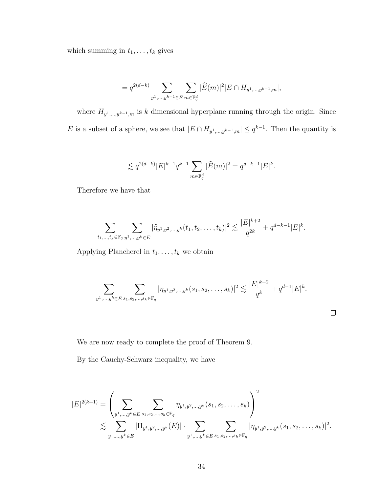which summing in  $t_1, \ldots, t_k$  gives

$$
= q^{2(d-k)} \sum_{y^1,\dots,y^{k-1} \in E} \sum_{m \in \mathbb{F}_q^d} |\widehat{E}(m)|^2 |E \cap H_{y^1,\dots,y^{k-1},m}|,
$$

where  $H_{y_1,\ldots,y^{k-1},m}$  is k dimensional hyperplane running through the origin. Since E is a subset of a sphere, we see that  $|E \cap H_{y^1,\dots,y^{k-1},m}| \leq q^{k-1}$ . Then the quantity is

$$
\lesssim q^{2(d-k)}|E|^{k-1}q^{k-1}\sum_{m\in\mathbb{F}_q^d}|\widehat{E}(m)|^2=q^{d-k-1}|E|^k.
$$

Therefore we have that

$$
\sum_{t_1,\ldots,t_k\in\mathbb{F}_q}\sum_{y^1,\ldots,y^k\in E}|\widehat{\eta}_{y^1,y^2,\ldots,y^k}(t_1,t_2,\ldots,t_k)|^2\lesssim \frac{|E|^{k+2}}{q^{2k}}+q^{d-k-1}|E|^k.
$$

Applying Plancherel in  $t_1, \ldots, t_k$  we obtain

$$
\sum_{y^1,\ldots,y^k\in E} \sum_{s_1,s_2,\ldots,s_k\in \mathbb{F}_q} |\eta_{y^1,y^2,\ldots,y^k}(s_1,s_2,\ldots,s_k)|^2 \lesssim \frac{|E|^{k+2}}{q^k} + q^{d-1}|E|^k.
$$

 $\Box$ 

We are now ready to complete the proof of Theorem 9.

By the Cauchy-Schwarz inequality, we have

$$
|E|^{2(k+1)} = \left(\sum_{y^1,\dots,y^k \in E} \sum_{s_1,s_2,\dots,s_k \in \mathbb{F}_q} \eta_{y^1,y^2,\dots,y^k}(s_1,s_2,\dots,s_k)\right)^2
$$
  

$$
\lesssim \sum_{y^1,\dots,y^k \in E} |\Pi_{y^1,y^2,\dots,y^k}(E)| \cdot \sum_{y^1,\dots,y^k \in E} \sum_{s_1,s_2,\dots,s_k \in \mathbb{F}_q} |\eta_{y^1,y^2,\dots,y^k}(s_1,s_2,\dots,s_k)|^2.
$$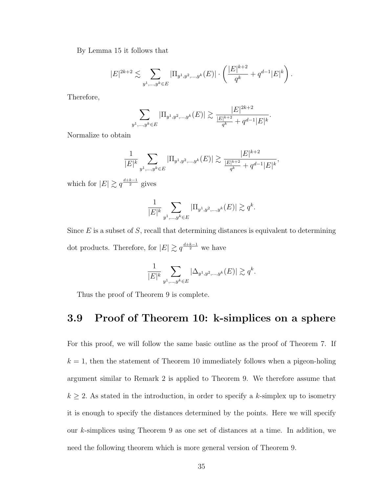By Lemma 15 it follows that

$$
|E|^{2k+2} \lesssim \sum_{y^1,\dots,y^k \in E} |\Pi_{y^1,y^2,\dots,y^k}(E)| \cdot \left( \frac{|E|^{k+2}}{q^k} + q^{d-1} |E|^k \right).
$$

Therefore,

$$
\sum_{y^1,\dots,y^k \in E} |\Pi_{y^1,y^2,\dots,y^k}(E)| \gtrsim \frac{|E|^{2k+2}}{\frac{|E|^{k+2}}{q^k} + q^{d-1}|E|^k}.
$$

Normalize to obtain

$$
\frac{1}{|E|^k} \sum_{y^1, \dots, y^k \in E} |\Pi_{y^1, y^2, \dots, y^k}(E)| \gtrsim \frac{|E|^{k+2}}{\frac{|E|^{k+2}}{q^k} + q^{d-1}|E|^k},
$$

which for  $|E| \gtrsim q^{\frac{d+k-1}{2}}$  gives

$$
\frac{1}{|E|^k}\sum_{y^1,\ldots,y^k\in E}|\Pi_{y^1,y^2,\ldots,y^k}(E)|\gtrsim q^k.
$$

Since  $E$  is a subset of  $S$ , recall that determining distances is equivalent to determining dot products. Therefore, for  $|E| \gtrsim q^{\frac{d+k-1}{2}}$  we have

$$
\frac{1}{|E|^k} \sum_{y^1, \dots, y^k \in E} |\Delta_{y^1, y^2, \dots, y^k}(E)| \gtrsim q^k.
$$

Thus the proof of Theorem 9 is complete.

## 3.9 Proof of Theorem 10: k-simplices on a sphere

For this proof, we will follow the same basic outline as the proof of Theorem 7. If  $k = 1$ , then the statement of Theorem 10 immediately follows when a pigeon-holing argument similar to Remark 2 is applied to Theorem 9. We therefore assume that  $k \geq 2$ . As stated in the introduction, in order to specify a k-simplex up to isometry it is enough to specify the distances determined by the points. Here we will specify our k-simplices using Theorem 9 as one set of distances at a time. In addition, we need the following theorem which is more general version of Theorem 9.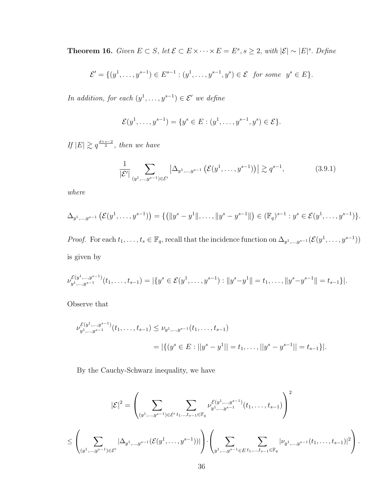**Theorem 16.** Given  $E \subset S$ , let  $\mathcal{E} \subset E \times \cdots \times E = E^s$ ,  $s \geq 2$ , with  $|\mathcal{E}| \sim |E|^s$ . Define

$$
\mathcal{E}' = \{ (y^1, \dots, y^{s-1}) \in E^{s-1} : (y^1, \dots, y^{s-1}, y^s) \in \mathcal{E} \text{ for some } y^s \in E \}.
$$

In addition, for each  $(y^1, \ldots, y^{s-1}) \in \mathcal{E}'$  we define

$$
\mathcal{E}(y^1, \dots, y^{s-1}) = \{y^s \in E : (y^1, \dots, y^{s-1}, y^s) \in \mathcal{E}\}.
$$

If  $|E| \gtrsim q^{\frac{d+s-2}{2}}$ , then we have

$$
\frac{1}{|\mathcal{E}'|} \sum_{(y^1,\ldots,y^{s-1}) \in \mathcal{E}'} \left| \Delta_{y^1,\ldots,y^{s-1}} \left( \mathcal{E}(y^1,\ldots,y^{s-1}) \right) \right| \gtrsim q^{s-1},\tag{3.9.1}
$$

where

$$
\Delta_{y^1,\dots,y^{s-1}}\left(\mathcal{E}(y^1,\dots,y^{s-1})\right) = \{ (||y^s - y^1||,\dots,||y^s - y^{s-1}||) \in (\mathbb{F}_q)^{s-1} : y^s \in \mathcal{E}(y^1,\dots,y^{s-1}) \}.
$$

*Proof.* For each  $t_1, \ldots, t_s \in \mathbb{F}_q$ , recall that the incidence function on  $\Delta_{y^1,\ldots,y^{s-1}}(\mathcal{E}(y^1,\ldots,y^{s-1}))$ is given by

$$
\nu_{y_1,\ldots,y_{s-1}}^{\mathcal{E}(y_1,\ldots,y_{s-1})}(t_1,\ldots,t_{s-1})=|\{y^s\in \mathcal{E}(y_1,\ldots,y_{s-1}): \|y^s-y^1\|=t_1,\ldots,\|y^s-y^{s-1}\|=t_{s-1}\}|.
$$

Observe that

$$
\nu_{y^1,\dots,y^{s-1}}^{\mathcal{E}(y^1,\dots,y^{s-1})}(t_1,\dots,t_{s-1}) \leq \nu_{y^1,\dots,y^{s-1}}(t_1,\dots,t_{s-1})
$$
  
=  $|\{(y^s \in E : ||y^s - y^1|| = t_1,\dots,||y^s - y^{s-1}|| = t_{s-1}\}|.$ 

By the Cauchy-Schwarz inequality, we have

$$
|\mathcal{E}|^2 = \left(\sum_{(y^1,\ldots,y^{s-1})\in \mathcal{E}'} \sum_{t_1,\ldots,t_{s-1}\in \mathbb{F}_q} \nu^{\mathcal{E}(y^1,\ldots,y^{s-1})}_{y^1,\ldots,y^{s-1}}(t_1,\ldots,t_{s-1})\right)^2
$$
  

$$
\leq \left(\sum_{(y^1,\ldots,y^{s-1})\in \mathcal{E}'} |\Delta_{y^1,\ldots,y^{s-1}}(\mathcal{E}(y^1,\ldots,y^{s-1}))| \right) \cdot \left(\sum_{y^1,\ldots,y^{s-1}\in E} \sum_{t_1,\ldots,t_{s-1}\in \mathbb{F}_q} |\nu_{y^1,\ldots,y^{s-1}}(t_1,\ldots,t_{s-1})|^2\right).
$$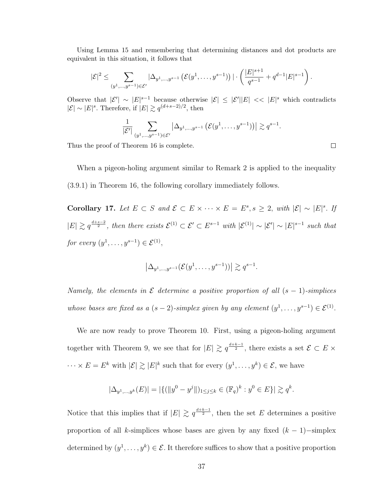Using Lemma 15 and remembering that determining distances and dot products are equivalent in this situation, it follows that

$$
|\mathcal{E}|^2 \leq \sum_{(y^1,\ldots,y^{s-1})\in \mathcal{E}'} |\Delta_{y^1,\ldots,y^{s-1}} (\mathcal{E}(y^1,\ldots,y^{s-1}))| \cdot \left(\frac{|E|^{s+1}}{q^{s-1}} + q^{d-1}|E|^{s-1}\right).
$$

Observe that  $|\mathcal{E}'| \sim |E|^{s-1}$  because otherwise  $|\mathcal{E}| \leq |\mathcal{E}'| |E| \ll |E|^s$  which contradicts  $|\mathcal{E}|$  ∼  $|E|$ <sup>s</sup>. Therefore, if  $|E|$   $\gtrsim$   $q^{(d+s-2)/2}$ , then

$$
\frac{1}{|\mathcal{E}'|} \sum_{(y^1,\ldots,y^{s-1}) \in \mathcal{E}'} \left| \Delta_{y^1,\ldots,y^{s-1}} \left( \mathcal{E}(y^1,\ldots,y^{s-1}) \right) \right| \gtrsim q^{s-1}
$$

Thus the proof of Theorem 16 is complete.

When a pigeon-holing argument similar to Remark 2 is applied to the inequality (3.9.1) in Theorem 16, the following corollary immediately follows.

Corollary 17. Let  $E \subset S$  and  $\mathcal{E} \subset E \times \cdots \times E = E^s$ ,  $s \geq 2$ , with  $|\mathcal{E}| \sim |E|^s$ . If  $|E| \gtrsim q^{\frac{d+s-2}{2}}$ , then there exists  $\mathcal{E}^{(1)} \subset \mathcal{E}' \subset E^{s-1}$  with  $|\mathcal{E}^{(1)}| \sim |\mathcal{E}'| \sim |E|^{s-1}$  such that for every  $(y^1, \ldots, y^{s-1}) \in \mathcal{E}^{(1)}$ ,

$$
\left|\Delta_{y^1,\ldots,y^{s-1}}(\mathcal{E}(y^1,\ldots,y^{s-1}))\right| \gtrsim q^{s-1}.
$$

Namely, the elements in  $\mathcal E$  determine a positive proportion of all  $(s - 1)$ -simplices whose bases are fixed as a  $(s-2)$ -simplex given by any element  $(y^1, \ldots, y^{s-1}) \in \mathcal{E}^{(1)}$ .

We are now ready to prove Theorem 10. First, using a pigeon-holing argument together with Theorem 9, we see that for  $|E| \gtrsim q^{\frac{d+k-1}{2}}$ , there exists a set  $\mathcal{E} \subset E \times$  $\cdots \times E = E^k$  with  $|\mathcal{E}| \gtrsim |E|^k$  such that for every  $(y^1, \ldots, y^k) \in \mathcal{E}$ , we have

$$
|\Delta_{y^1,\dots,y^k}(E)| = |\{ (||y^0 - y^j||)_{1 \le j \le k} \in (\mathbb{F}_q)^k : y^0 \in E \}| \gtrsim q^k.
$$

Notice that this implies that if  $|E| \geq q^{\frac{d+k-1}{2}}$ , then the set E determines a positive proportion of all k-simplices whose bases are given by any fixed  $(k-1)$ −simplex determined by  $(y^1, \ldots, y^k) \in \mathcal{E}$ . It therefore suffices to show that a positive proportion

 $\Box$ 

.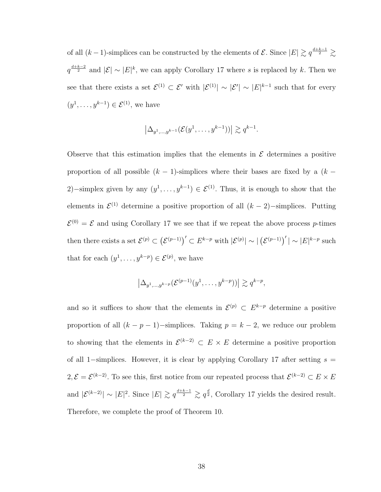of all  $(k-1)$ -simplices can be constructed by the elements of  $\mathcal{E}$ . Since  $|E| \gtrsim q^{\frac{d+k-1}{2}} \gtrsim$  $q^{\frac{d+k-2}{2}}$  and  $|\mathcal{E}| \sim |E|^k$ , we can apply Corollary 17 where s is replaced by k. Then we see that there exists a set  $\mathcal{E}^{(1)} \subset \mathcal{E}'$  with  $|\mathcal{E}^{(1)}| \sim |\mathcal{E}'| \sim |E|^{k-1}$  such that for every  $(y^1, \ldots, y^{k-1}) \in \mathcal{E}^{(1)}$ , we have

$$
\left|\Delta_{y^1,\ldots,y^{k-1}}(\mathcal{E}(y^1,\ldots,y^{k-1}))\right| \gtrsim q^{k-1}.
$$

Observe that this estimation implies that the elements in  $\mathcal E$  determines a positive proportion of all possible  $(k - 1)$ -simplices where their bases are fixed by a  $(k - 1)$ 2)–simplex given by any  $(y^1, \ldots, y^{k-1}) \in \mathcal{E}^{(1)}$ . Thus, it is enough to show that the elements in  $\mathcal{E}^{(1)}$  determine a positive proportion of all  $(k-2)$ -simplices. Putting  $\mathcal{E}^{(0)} = \mathcal{E}$  and using Corollary 17 we see that if we repeat the above process p-times then there exists a set  $\mathcal{E}^{(p)} \subset (\mathcal{E}^{(p-1)})' \subset E^{k-p}$  with  $|\mathcal{E}^{(p)}| \sim |(\mathcal{E}^{(p-1)})'| \sim |E|^{k-p}$  such that for each  $(y^1, \ldots, y^{k-p}) \in \mathcal{E}^{(p)}$ , we have

$$
\left|\Delta_{y^1,\ldots,y^{k-p}}(\mathcal{E}^{(p-1)}(y^1,\ldots,y^{k-p}))\right| \gtrsim q^{k-p},
$$

and so it suffices to show that the elements in  $\mathcal{E}^{(p)} \subset E^{k-p}$  determine a positive proportion of all  $(k - p - 1)$ –simplices. Taking  $p = k - 2$ , we reduce our problem to showing that the elements in  $\mathcal{E}^{(k-2)} \subset E \times E$  determine a positive proportion of all 1-simplices. However, it is clear by applying Corollary 17 after setting  $s =$  $2,\mathcal{E}=\mathcal{E}^{(k-2)}$ . To see this, first notice from our repeated process that  $\mathcal{E}^{(k-2)}\subset E\times E$ and  $|\mathcal{E}^{(k-2)}| \sim |E|^2$ . Since  $|E| \gtrsim q^{\frac{d+k-1}{2}} \gtrsim q^{\frac{d}{2}}$ , Corollary 17 yields the desired result. Therefore, we complete the proof of Theorem 10.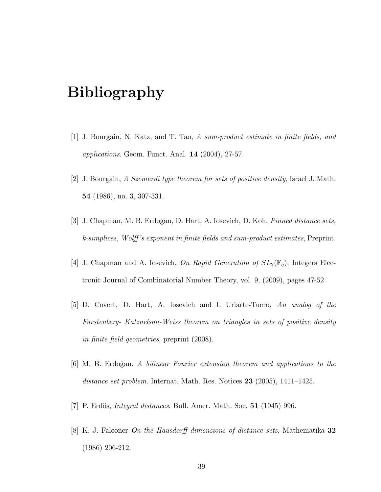# Bibliography

- [1] J. Bourgain, N. Katz, and T. Tao, A sum-product estimate in finite fields, and *applications.* Geom. Funct. Anal.  $14$   $(2004)$ ,  $27-57$ .
- [2] J. Bourgain, A Szemerdi type theorem for sets of positive density, Israel J. Math. 54 (1986), no. 3, 307-331.
- [3] J. Chapman, M. B. Erdogan, D. Hart, A. Iosevich, D. Koh, Pinned distance sets, k-simplices, Wolff 's exponent in finite fields and sum-product estimates, Preprint.
- [4] J. Chapman and A. Iosevich, On Rapid Generation of  $SL_2(\mathbb{F}_q)$ , Integers Electronic Journal of Combinatorial Number Theory, vol. 9, (2009), pages 47-52.
- [5] D. Covert, D. Hart, A. Iosevich and I. Uriarte-Tuero, An analog of the Furstenberg- Katznelson-Weiss theorem on triangles in sets of positive density in finite field geometries, preprint (2008).
- [6] M. B. Erdo˘gan. A bilinear Fourier extension theorem and applications to the distance set problem. Internat. Math. Res. Notices  $23$  (2005), 1411–1425.
- [7] P. Erdös, *Integral distances*. Bull. Amer. Math. Soc.  $51$  (1945) 996.
- [8] K. J. Falconer On the Hausdorff dimensions of distance sets, Mathematika 32 (1986) 206-212.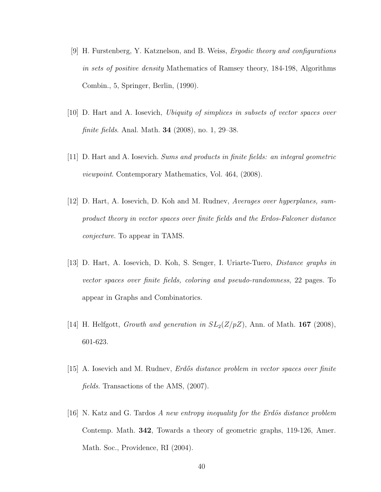- [9] H. Furstenberg, Y. Katznelson, and B. Weiss, Ergodic theory and configurations in sets of positive density Mathematics of Ramsey theory, 184-198, Algorithms Combin., 5, Springer, Berlin, (1990).
- [10] D. Hart and A. Iosevich, Ubiquity of simplices in subsets of vector spaces over finite fields. Anal. Math. 34 (2008), no. 1, 29–38.
- [11] D. Hart and A. Iosevich. Sums and products in finite fields: an integral geometric viewpoint. Contemporary Mathematics, Vol. 464, (2008).
- [12] D. Hart, A. Iosevich, D. Koh and M. Rudnev, Averages over hyperplanes, sumproduct theory in vector spaces over finite fields and the Erdos-Falconer distance conjecture. To appear in TAMS.
- [13] D. Hart, A. Iosevich, D. Koh, S. Senger, I. Uriarte-Tuero, Distance graphs in vector spaces over finite fields, coloring and pseudo-randomness, 22 pages. To appear in Graphs and Combinatorics.
- [14] H. Helfgott, *Growth and generation in*  $SL_2(Z/pZ)$ , Ann. of Math. **167** (2008), 601-623.
- [15] A. Iosevich and M. Rudney, *Erdős distance problem in vector spaces over finite* fields. Transactions of the AMS, (2007).
- [16] N. Katz and G. Tardos A new entropy inequality for the Erdös distance problem Contemp. Math. 342, Towards a theory of geometric graphs, 119-126, Amer. Math. Soc., Providence, RI (2004).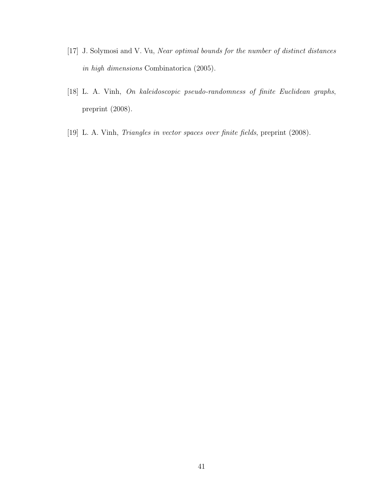- [17] J. Solymosi and V. Vu, Near optimal bounds for the number of distinct distances in high dimensions Combinatorica (2005).
- [18] L. A. Vinh, On kaleidoscopic pseudo-randomness of finite Euclidean graphs, preprint (2008).
- [19] L. A. Vinh, Triangles in vector spaces over finite fields, preprint (2008).